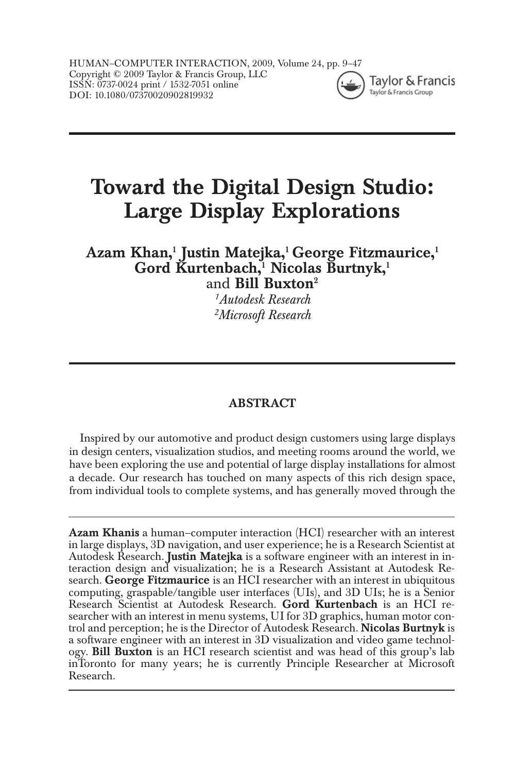

# **Toward the Digital Design Studio: Large Display Explorations**

**Azam Khan,1 Justin Matejka,1 George Fitzmaurice,1** Gord Kurtenbach,<sup>1</sup> Nicolas Burtnyk,<sup>1</sup> and **Bill Buxton2**

*1Autodesk Research 2Microsoft Research*

# **ABSTRACT**

Inspired by our automotive and product design customers using large displays in design centers, visualization studios, and meeting rooms around the world, we have been exploring the use and potential of large display installations for almost a decade. Our research has touched on many aspects of this rich design space, from individual tools to complete systems, and has generally moved through the

**Azam Khanis** a human–computer interaction (HCI) researcher with an interest in large displays, 3D navigation, and user experience; he is a Research Scientist at Autodesk Research. **Justin Matejka** is a software engineer with an interest in interaction design and visualization; he is a Research Assistant at Autodesk Research. **George Fitzmaurice** is an HCI researcher with an interest in ubiquitous computing, graspable/tangible user interfaces (UIs), and 3D UIs; he is a Senior Research Scientist at Autodesk Research. **Gord Kurtenbach** is an HCI researcher with an interest in menu systems, UI for 3D graphics, human motor control and perception; he is the Director of Autodesk Research. **Nicolas Burtnyk** is a software engineer with an interest in 3D visualization and video game technology. **Bill Buxton** is an HCI research scientist and was head of this group's lab inToronto for many years; he is currently Principle Researcher at Microsoft Research.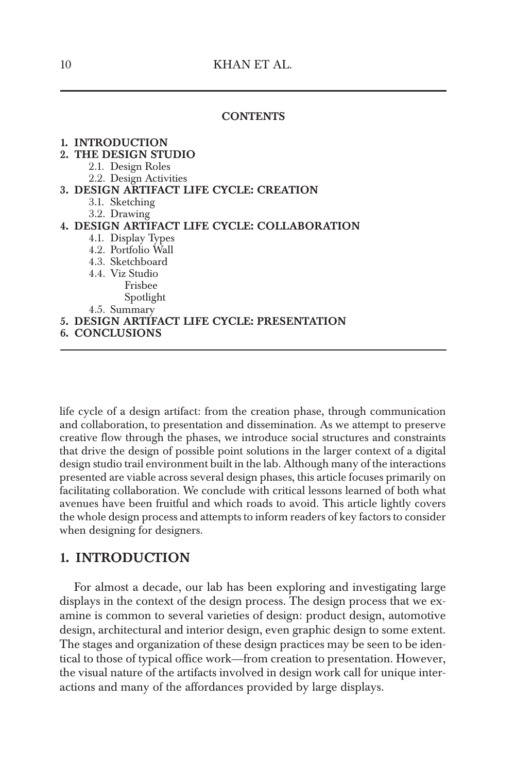#### **CONTENTS**

#### **1. INTRODUCTION 2. THE DESIGN STUDIO** 2.1. Design Roles 2.2. Design Activities **3. DESIGN ARTIFACT LIFE CYCLE: CREATION** 3.1. Sketching 3.2. Drawing **4. DESIGN ARTIFACT LIFE CYCLE: COLLABORATION** 4.1. Display Types 4.2. Portfolio Wall 4.3. Sketchboard 4.4. Viz Studio Frisbee Spotlight 4.5. Summary **5. DESIGN ARTIFACT LIFE CYCLE: PRESENTATION 6. CONCLUSIONS**

life cycle of a design artifact: from the creation phase, through communication and collaboration, to presentation and dissemination. As we attempt to preserve creative flow through the phases, we introduce social structures and constraints that drive the design of possible point solutions in the larger context of a digital design studio trail environment built in the lab. Although many of the interactions presented are viable across several design phases, this article focuses primarily on facilitating collaboration. We conclude with critical lessons learned of both what avenues have been fruitful and which roads to avoid. This article lightly covers the whole design process and attempts to inform readers of key factors to consider when designing for designers.

# **1. INTRODUCTION**

For almost a decade, our lab has been exploring and investigating large displays in the context of the design process. The design process that we examine is common to several varieties of design: product design, automotive design, architectural and interior design, even graphic design to some extent. The stages and organization of these design practices may be seen to be identical to those of typical office work—from creation to presentation. However, the visual nature of the artifacts involved in design work call for unique interactions and many of the affordances provided by large displays.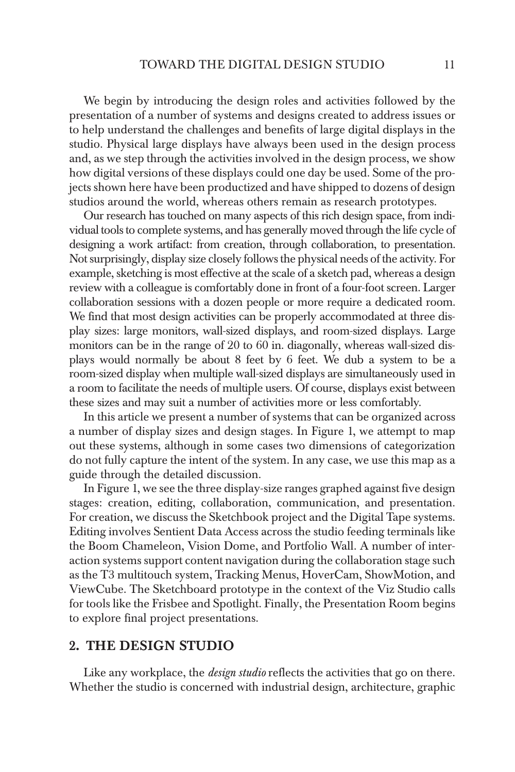We begin by introducing the design roles and activities followed by the presentation of a number of systems and designs created to address issues or to help understand the challenges and benefits of large digital displays in the studio. Physical large displays have always been used in the design process and, as we step through the activities involved in the design process, we show how digital versions of these displays could one day be used. Some of the projects shown here have been productized and have shipped to dozens of design studios around the world, whereas others remain as research prototypes.

Our research has touched on many aspects of this rich design space, from individual tools to complete systems, and has generally moved through the life cycle of designing a work artifact: from creation, through collaboration, to presentation. Not surprisingly, display size closely follows the physical needs of the activity. For example, sketching is most effective at the scale of a sketch pad, whereas a design review with a colleague is comfortably done in front of a four-foot screen. Larger collaboration sessions with a dozen people or more require a dedicated room. We find that most design activities can be properly accommodated at three display sizes: large monitors, wall-sized displays, and room-sized displays. Large monitors can be in the range of 20 to 60 in. diagonally, whereas wall-sized displays would normally be about 8 feet by 6 feet. We dub a system to be a room-sized display when multiple wall-sized displays are simultaneously used in a room to facilitate the needs of multiple users. Of course, displays exist between these sizes and may suit a number of activities more or less comfortably.

In this article we present a number of systems that can be organized across a number of display sizes and design stages. In Figure 1, we attempt to map out these systems, although in some cases two dimensions of categorization do not fully capture the intent of the system. In any case, we use this map as a guide through the detailed discussion.

In Figure 1, we see the three display-size ranges graphed against five design stages: creation, editing, collaboration, communication, and presentation. For creation, we discuss the Sketchbook project and the Digital Tape systems. Editing involves Sentient Data Access across the studio feeding terminals like the Boom Chameleon, Vision Dome, and Portfolio Wall. A number of interaction systems support content navigation during the collaboration stage such as the T3 multitouch system, Tracking Menus, HoverCam, ShowMotion, and ViewCube. The Sketchboard prototype in the context of the Viz Studio calls for tools like the Frisbee and Spotlight. Finally, the Presentation Room begins to explore final project presentations.

# **2. THE DESIGN STUDIO**

Like any workplace, the *design studio* reflects the activities that go on there. Whether the studio is concerned with industrial design, architecture, graphic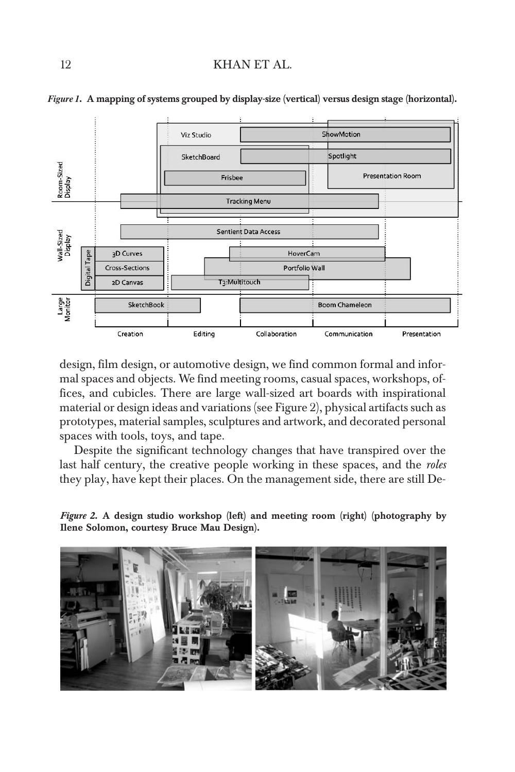



design, film design, or automotive design, we find common formal and informal spaces and objects. We find meeting rooms, casual spaces, workshops, offices, and cubicles. There are large wall-sized art boards with inspirational material or design ideas and variations (see Figure 2), physical artifacts such as prototypes, material samples, sculptures and artwork, and decorated personal spaces with tools, toys, and tape.

Despite the significant technology changes that have transpired over the last half century, the creative people working in these spaces, and the *roles* they play, have kept their places. On the management side, there are still De-

*Figure 2***. A design studio workshop (left) and meeting room (right) (photography by Ilene Solomon, courtesy Bruce Mau Design).**

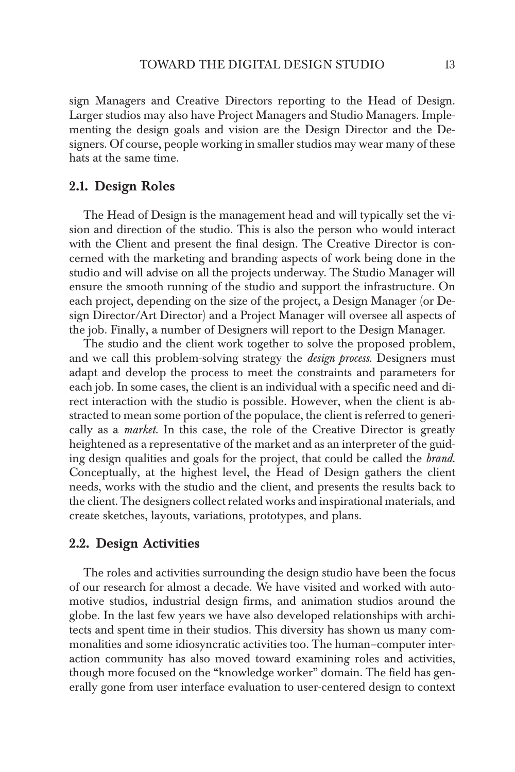sign Managers and Creative Directors reporting to the Head of Design. Larger studios may also have Project Managers and Studio Managers. Implementing the design goals and vision are the Design Director and the Designers. Of course, people working in smaller studios may wear many of these hats at the same time.

## **2.1. Design Roles**

The Head of Design is the management head and will typically set the vision and direction of the studio. This is also the person who would interact with the Client and present the final design. The Creative Director is concerned with the marketing and branding aspects of work being done in the studio and will advise on all the projects underway. The Studio Manager will ensure the smooth running of the studio and support the infrastructure. On each project, depending on the size of the project, a Design Manager (or Design Director/Art Director) and a Project Manager will oversee all aspects of the job. Finally, a number of Designers will report to the Design Manager.

The studio and the client work together to solve the proposed problem, and we call this problem-solving strategy the *design process*. Designers must adapt and develop the process to meet the constraints and parameters for each job. In some cases, the client is an individual with a specific need and direct interaction with the studio is possible. However, when the client is abstracted to mean some portion of the populace, the client is referred to generically as a *market*. In this case, the role of the Creative Director is greatly heightened as a representative of the market and as an interpreter of the guiding design qualities and goals for the project, that could be called the *brand*. Conceptually, at the highest level, the Head of Design gathers the client needs, works with the studio and the client, and presents the results back to the client. The designers collect related works and inspirational materials, and create sketches, layouts, variations, prototypes, and plans.

## **2.2. Design Activities**

The roles and activities surrounding the design studio have been the focus of our research for almost a decade. We have visited and worked with automotive studios, industrial design firms, and animation studios around the globe. In the last few years we have also developed relationships with architects and spent time in their studios. This diversity has shown us many commonalities and some idiosyncratic activities too. The human–computer interaction community has also moved toward examining roles and activities, though more focused on the "knowledge worker" domain. The field has generally gone from user interface evaluation to user-centered design to context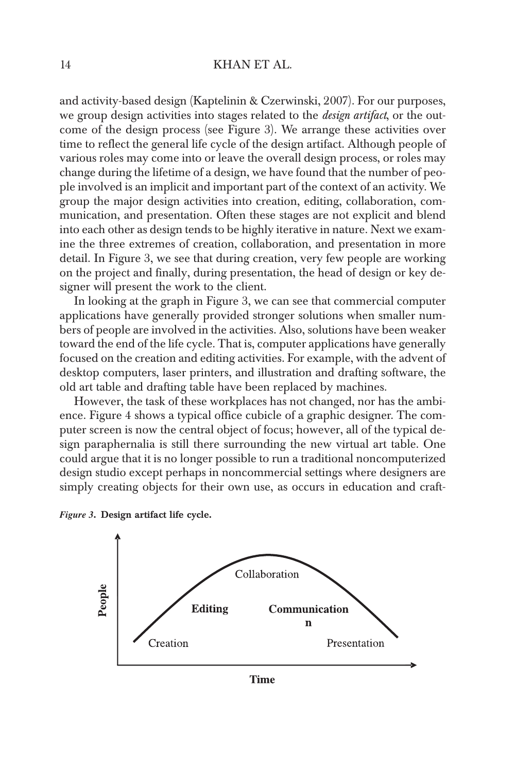and activity-based design (Kaptelinin & Czerwinski, 2007). For our purposes, we group design activities into stages related to the *design artifact*, or the outcome of the design process (see Figure 3). We arrange these activities over time to reflect the general life cycle of the design artifact. Although people of various roles may come into or leave the overall design process, or roles may change during the lifetime of a design, we have found that the number of people involved is an implicit and important part of the context of an activity. We group the major design activities into creation, editing, collaboration, communication, and presentation. Often these stages are not explicit and blend into each other as design tends to be highly iterative in nature. Next we examine the three extremes of creation, collaboration, and presentation in more detail. In Figure 3, we see that during creation, very few people are working on the project and finally, during presentation, the head of design or key designer will present the work to the client.

In looking at the graph in Figure 3, we can see that commercial computer applications have generally provided stronger solutions when smaller numbers of people are involved in the activities. Also, solutions have been weaker toward the end of the life cycle. That is, computer applications have generally focused on the creation and editing activities. For example, with the advent of desktop computers, laser printers, and illustration and drafting software, the old art table and drafting table have been replaced by machines.

However, the task of these workplaces has not changed, nor has the ambience. Figure 4 shows a typical office cubicle of a graphic designer. The computer screen is now the central object of focus; however, all of the typical design paraphernalia is still there surrounding the new virtual art table. One could argue that it is no longer possible to run a traditional noncomputerized design studio except perhaps in noncommercial settings where designers are simply creating objects for their own use, as occurs in education and craft-

*Figure 3***. Design artifact life cycle.**



**Time**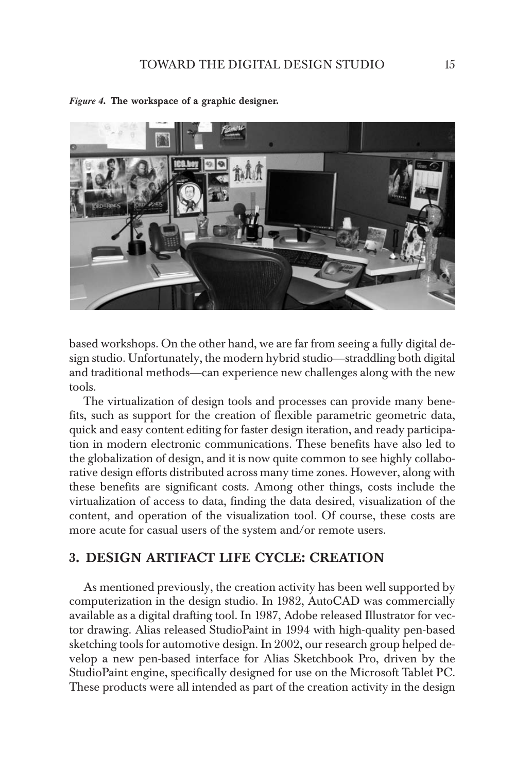

*Figure 4.* **The workspace of a graphic designer.**

based workshops. On the other hand, we are far from seeing a fully digital design studio. Unfortunately, the modern hybrid studio—straddling both digital and traditional methods—can experience new challenges along with the new tools.

The virtualization of design tools and processes can provide many benefits, such as support for the creation of flexible parametric geometric data, quick and easy content editing for faster design iteration, and ready participation in modern electronic communications. These benefits have also led to the globalization of design, and it is now quite common to see highly collaborative design efforts distributed across many time zones. However, along with these benefits are significant costs. Among other things, costs include the virtualization of access to data, finding the data desired, visualization of the content, and operation of the visualization tool. Of course, these costs are more acute for casual users of the system and/or remote users.

## **3. DESIGN ARTIFACT LIFE CYCLE: CREATION**

As mentioned previously, the creation activity has been well supported by computerization in the design studio. In 1982, AutoCAD was commercially available as a digital drafting tool. In 1987, Adobe released Illustrator for vector drawing. Alias released StudioPaint in 1994 with high-quality pen-based sketching tools for automotive design. In 2002, our research group helped develop a new pen-based interface for Alias Sketchbook Pro, driven by the StudioPaint engine, specifically designed for use on the Microsoft Tablet PC. These products were all intended as part of the creation activity in the design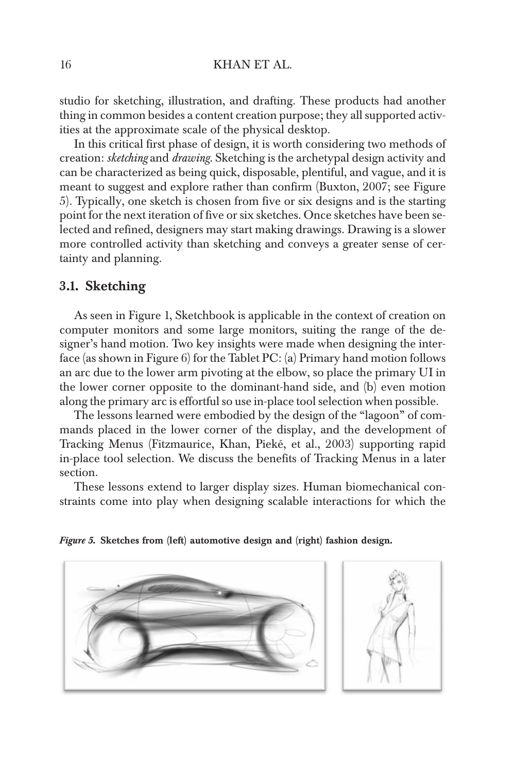studio for sketching, illustration, and drafting. These products had another thing in common besides a content creation purpose; they all supported activities at the approximate scale of the physical desktop.

In this critical first phase of design, it is worth considering two methods of creation: *sketching* and *drawing*. Sketching is the archetypal design activity and can be characterized as being quick, disposable, plentiful, and vague, and it is meant to suggest and explore rather than confirm (Buxton, 2007; see Figure 5). Typically, one sketch is chosen from five or six designs and is the starting point for the next iteration of five or six sketches. Once sketches have been selected and refined, designers may start making drawings. Drawing is a slower more controlled activity than sketching and conveys a greater sense of certainty and planning.

#### **3.1. Sketching**

As seen in Figure 1, Sketchbook is applicable in the context of creation on computer monitors and some large monitors, suiting the range of the designer's hand motion. Two key insights were made when designing the interface (as shown in Figure 6) for the Tablet PC: (a) Primary hand motion follows an arc due to the lower arm pivoting at the elbow, so place the primary UI in the lower corner opposite to the dominant-hand side, and (b) even motion along the primary arc is effortful so use in-place tool selection when possible.

The lessons learned were embodied by the design of the "lagoon" of commands placed in the lower corner of the display, and the development of Tracking Menus (Fitzmaurice, Khan, Pieké, et al., 2003) supporting rapid in-place tool selection. We discuss the benefits of Tracking Menus in a later section.

These lessons extend to larger display sizes. Human biomechanical constraints come into play when designing scalable interactions for which the

*Figure 5***. Sketches from (left) automotive design and (right) fashion design.**

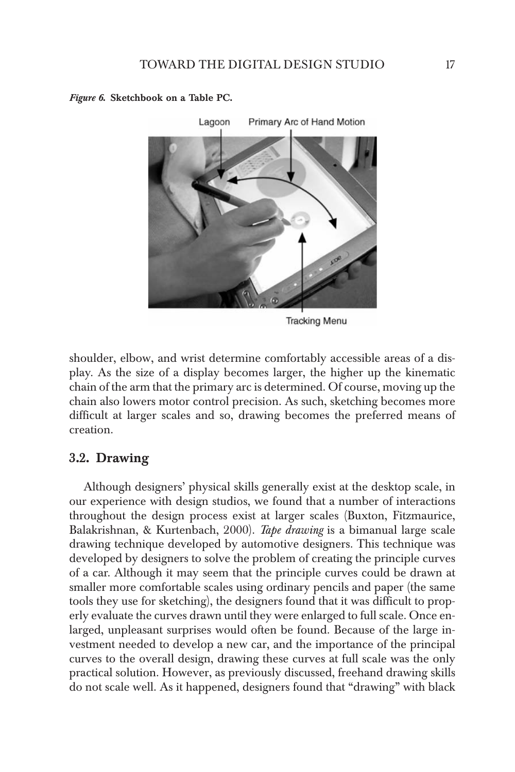

*Figure 6.* **Sketchbook on a Table PC.**

**Tracking Menu** 

shoulder, elbow, and wrist determine comfortably accessible areas of a display. As the size of a display becomes larger, the higher up the kinematic chain of the arm that the primary arc is determined. Of course, moving up the chain also lowers motor control precision. As such, sketching becomes more difficult at larger scales and so, drawing becomes the preferred means of creation.

#### **3.2. Drawing**

Although designers' physical skills generally exist at the desktop scale, in our experience with design studios, we found that a number of interactions throughout the design process exist at larger scales (Buxton, Fitzmaurice, Balakrishnan, & Kurtenbach, 2000). *Tape drawing* is a bimanual large scale drawing technique developed by automotive designers. This technique was developed by designers to solve the problem of creating the principle curves of a car. Although it may seem that the principle curves could be drawn at smaller more comfortable scales using ordinary pencils and paper (the same tools they use for sketching), the designers found that it was difficult to properly evaluate the curves drawn until they were enlarged to full scale. Once enlarged, unpleasant surprises would often be found. Because of the large investment needed to develop a new car, and the importance of the principal curves to the overall design, drawing these curves at full scale was the only practical solution. However, as previously discussed, freehand drawing skills do not scale well. As it happened, designers found that "drawing" with black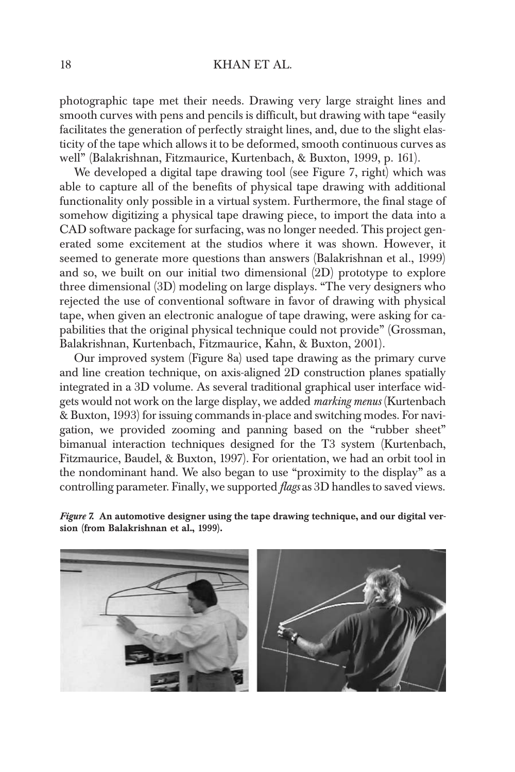photographic tape met their needs. Drawing very large straight lines and smooth curves with pens and pencils is difficult, but drawing with tape "easily facilitates the generation of perfectly straight lines, and, due to the slight elasticity of the tape which allows it to be deformed, smooth continuous curves as well" (Balakrishnan, Fitzmaurice, Kurtenbach, & Buxton, 1999, p. 161).

We developed a digital tape drawing tool (see Figure 7, right) which was able to capture all of the benefits of physical tape drawing with additional functionality only possible in a virtual system. Furthermore, the final stage of somehow digitizing a physical tape drawing piece, to import the data into a CAD software package for surfacing, was no longer needed. This project generated some excitement at the studios where it was shown. However, it seemed to generate more questions than answers (Balakrishnan et al., 1999) and so, we built on our initial two dimensional (2D) prototype to explore three dimensional (3D) modeling on large displays. "The very designers who rejected the use of conventional software in favor of drawing with physical tape, when given an electronic analogue of tape drawing, were asking for capabilities that the original physical technique could not provide" (Grossman, Balakrishnan, Kurtenbach, Fitzmaurice, Kahn, & Buxton, 2001).

Our improved system (Figure 8a) used tape drawing as the primary curve and line creation technique, on axis-aligned 2D construction planes spatially integrated in a 3D volume. As several traditional graphical user interface widgets would not work on the large display, we added *marking menus* (Kurtenbach & Buxton, 1993) for issuing commands in-place and switching modes. For navigation, we provided zooming and panning based on the "rubber sheet" bimanual interaction techniques designed for the T3 system (Kurtenbach, Fitzmaurice, Baudel, & Buxton, 1997). For orientation, we had an orbit tool in the nondominant hand. We also began to use "proximity to the display" as a controlling parameter. Finally, we supported *flags* as 3D handles to saved views.

*Figure 7***. An automotive designer using the tape drawing technique, and our digital version (from Balakrishnan et al., 1999).**

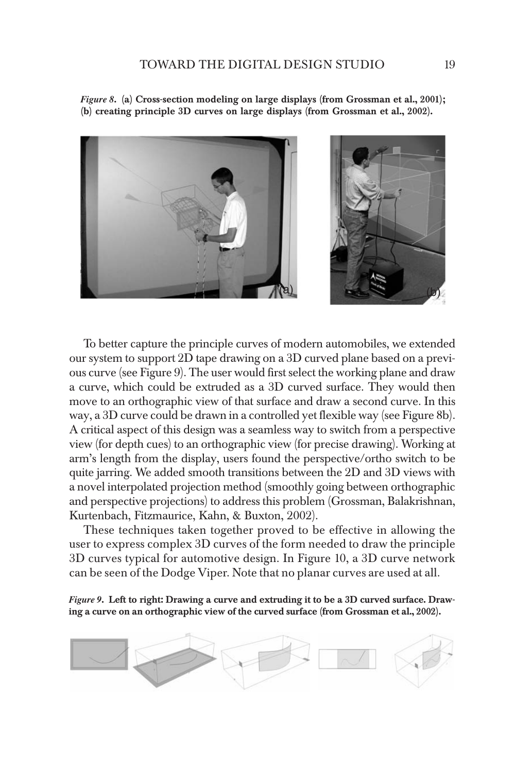*Figure 8***. (a) Cross-section modeling on large displays (from Grossman et al., 2001); (b) creating principle 3D curves on large displays (from Grossman et al., 2002).**



To better capture the principle curves of modern automobiles, we extended our system to support 2D tape drawing on a 3D curved plane based on a previous curve (see Figure 9). The user would first select the working plane and draw a curve, which could be extruded as a 3D curved surface. They would then move to an orthographic view of that surface and draw a second curve. In this way, a 3D curve could be drawn in a controlled yet flexible way (see Figure 8b). A critical aspect of this design was a seamless way to switch from a perspective view (for depth cues) to an orthographic view (for precise drawing). Working at arm's length from the display, users found the perspective/ortho switch to be quite jarring. We added smooth transitions between the 2D and 3D views with a novel interpolated projection method (smoothly going between orthographic and perspective projections) to address this problem (Grossman, Balakrishnan, Kurtenbach, Fitzmaurice, Kahn, & Buxton, 2002).

These techniques taken together proved to be effective in allowing the user to express complex 3D curves of the form needed to draw the principle 3D curves typical for automotive design. In Figure 10, a 3D curve network can be seen of the Dodge Viper. Note that no planar curves are used at all.

*Figure 9***. Left to right: Drawing a curve and extruding it to be a 3D curved surface. Drawing a curve on an orthographic view of the curved surface (from Grossman et al., 2002).**

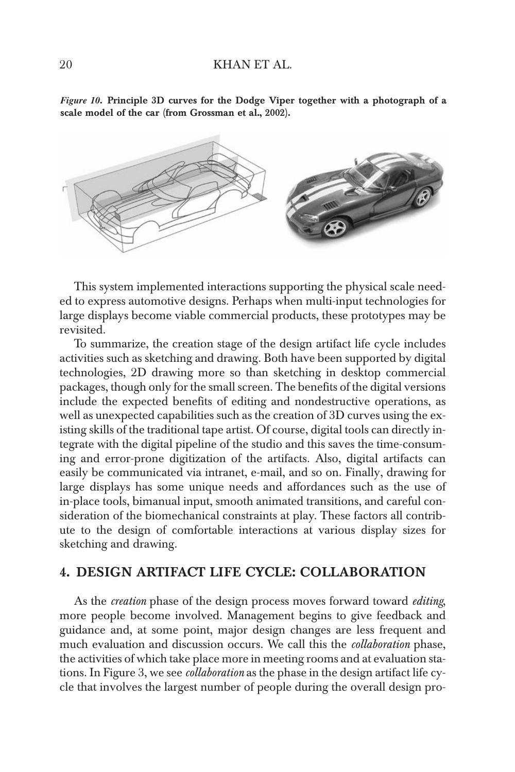*Figure 10.* **Principle 3D curves for the Dodge Viper together with a photograph of a scale model of the car (from Grossman et al., 2002).**



This system implemented interactions supporting the physical scale needed to express automotive designs. Perhaps when multi-input technologies for large displays become viable commercial products, these prototypes may be revisited.

To summarize, the creation stage of the design artifact life cycle includes activities such as sketching and drawing. Both have been supported by digital technologies, 2D drawing more so than sketching in desktop commercial packages, though only for the small screen. The benefits of the digital versions include the expected benefits of editing and nondestructive operations, as well as unexpected capabilities such as the creation of 3D curves using the existing skills of the traditional tape artist. Of course, digital tools can directly integrate with the digital pipeline of the studio and this saves the time-consuming and error-prone digitization of the artifacts. Also, digital artifacts can easily be communicated via intranet, e-mail, and so on. Finally, drawing for large displays has some unique needs and affordances such as the use of in-place tools, bimanual input, smooth animated transitions, and careful consideration of the biomechanical constraints at play. These factors all contribute to the design of comfortable interactions at various display sizes for sketching and drawing.

## **4. DESIGN ARTIFACT LIFE CYCLE: COLLABORATION**

As the *creation* phase of the design process moves forward toward *editing*, more people become involved. Management begins to give feedback and guidance and, at some point, major design changes are less frequent and much evaluation and discussion occurs. We call this the *collaboration* phase, the activities of which take place more in meeting rooms and at evaluation stations. In Figure 3, we see *collaboration* as the phase in the design artifact life cycle that involves the largest number of people during the overall design pro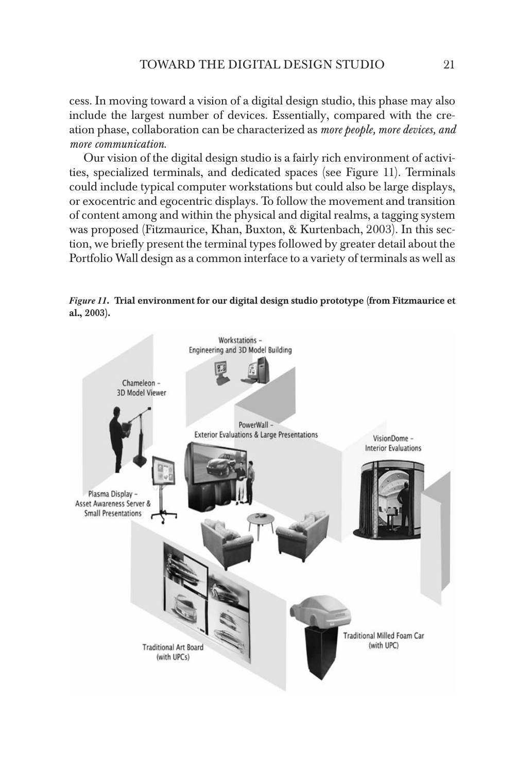cess. In moving toward a vision of a digital design studio, this phase may also include the largest number of devices. Essentially, compared with the creation phase, collaboration can be characterized as *more people, more devices, and more communication*.

Our vision of the digital design studio is a fairly rich environment of activities, specialized terminals, and dedicated spaces (see Figure 11). Terminals could include typical computer workstations but could also be large displays, or exocentric and egocentric displays. To follow the movement and transition of content among and within the physical and digital realms, a tagging system was proposed (Fitzmaurice, Khan, Buxton, & Kurtenbach, 2003). In this section, we briefly present the terminal types followed by greater detail about the Portfolio Wall design as a common interface to a variety of terminals as well as

**al., 2003).**Workstations -Engineering and 3D Model Building

*Figure 11.* **Trial environment for our digital design studio prototype (from Fitzmaurice et**

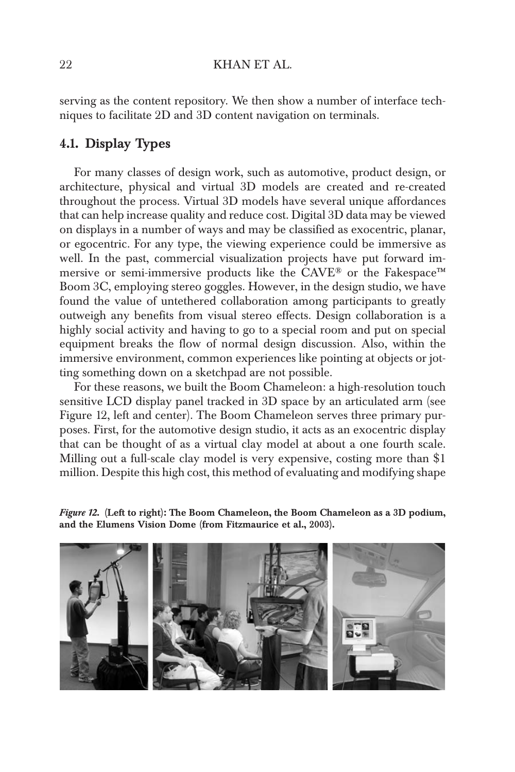serving as the content repository. We then show a number of interface techniques to facilitate 2D and 3D content navigation on terminals.

#### **4.1. Display Types**

For many classes of design work, such as automotive, product design, or architecture, physical and virtual 3D models are created and re-created throughout the process. Virtual 3D models have several unique affordances that can help increase quality and reduce cost. Digital 3D data may be viewed on displays in a number of ways and may be classified as exocentric, planar, or egocentric. For any type, the viewing experience could be immersive as well. In the past, commercial visualization projects have put forward immersive or semi-immersive products like the CAVE® or the Fakespace™ Boom 3C, employing stereo goggles. However, in the design studio, we have found the value of untethered collaboration among participants to greatly outweigh any benefits from visual stereo effects. Design collaboration is a highly social activity and having to go to a special room and put on special equipment breaks the flow of normal design discussion. Also, within the immersive environment, common experiences like pointing at objects or jotting something down on a sketchpad are not possible.

For these reasons, we built the Boom Chameleon: a high-resolution touch sensitive LCD display panel tracked in 3D space by an articulated arm (see Figure 12, left and center). The Boom Chameleon serves three primary purposes. First, for the automotive design studio, it acts as an exocentric display that can be thought of as a virtual clay model at about a one fourth scale. Milling out a full-scale clay model is very expensive, costing more than \$1 million. Despite this high cost, this method of evaluating and modifying shape

*Figure 12.* **(Left to right): The Boom Chameleon, the Boom Chameleon as a 3D podium, and the Elumens Vision Dome (from Fitzmaurice et al., 2003).**

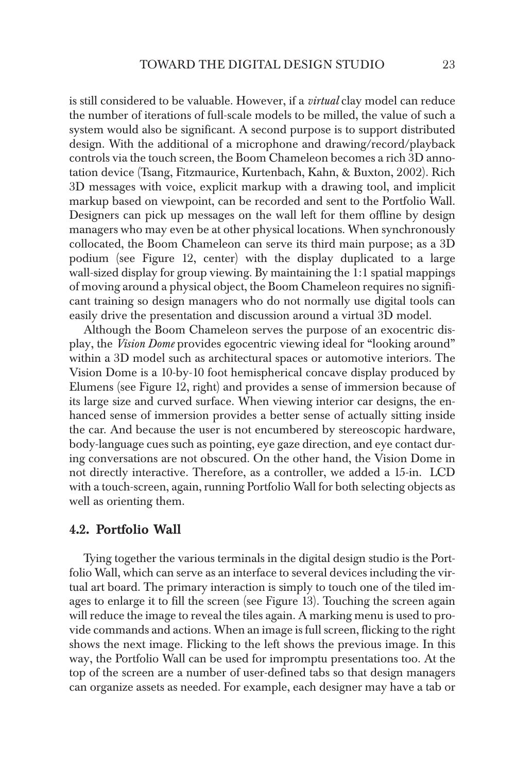is still considered to be valuable. However, if a *virtual* clay model can reduce the number of iterations of full-scale models to be milled, the value of such a system would also be significant. A second purpose is to support distributed design. With the additional of a microphone and drawing/record/playback controls via the touch screen, the Boom Chameleon becomes a rich 3D annotation device (Tsang, Fitzmaurice, Kurtenbach, Kahn, & Buxton, 2002). Rich 3D messages with voice, explicit markup with a drawing tool, and implicit markup based on viewpoint, can be recorded and sent to the Portfolio Wall. Designers can pick up messages on the wall left for them offline by design managers who may even be at other physical locations. When synchronously collocated, the Boom Chameleon can serve its third main purpose; as a 3D podium (see Figure 12, center) with the display duplicated to a large wall-sized display for group viewing. By maintaining the 1:1 spatial mappings of moving around a physical object, the Boom Chameleon requires no significant training so design managers who do not normally use digital tools can easily drive the presentation and discussion around a virtual 3D model.

Although the Boom Chameleon serves the purpose of an exocentric display, the *Vision Dome* provides egocentric viewing ideal for "looking around" within a 3D model such as architectural spaces or automotive interiors. The Vision Dome is a 10-by-10 foot hemispherical concave display produced by Elumens (see Figure 12, right) and provides a sense of immersion because of its large size and curved surface. When viewing interior car designs, the enhanced sense of immersion provides a better sense of actually sitting inside the car. And because the user is not encumbered by stereoscopic hardware, body-language cues such as pointing, eye gaze direction, and eye contact during conversations are not obscured. On the other hand, the Vision Dome in not directly interactive. Therefore, as a controller, we added a 15-in. LCD with a touch-screen, again, running Portfolio Wall for both selecting objects as well as orienting them.

## **4.2. Portfolio Wall**

Tying together the various terminals in the digital design studio is the Portfolio Wall, which can serve as an interface to several devices including the virtual art board. The primary interaction is simply to touch one of the tiled images to enlarge it to fill the screen (see Figure 13). Touching the screen again will reduce the image to reveal the tiles again. A marking menu is used to provide commands and actions. When an image is full screen, flicking to the right shows the next image. Flicking to the left shows the previous image. In this way, the Portfolio Wall can be used for impromptu presentations too. At the top of the screen are a number of user-defined tabs so that design managers can organize assets as needed. For example, each designer may have a tab or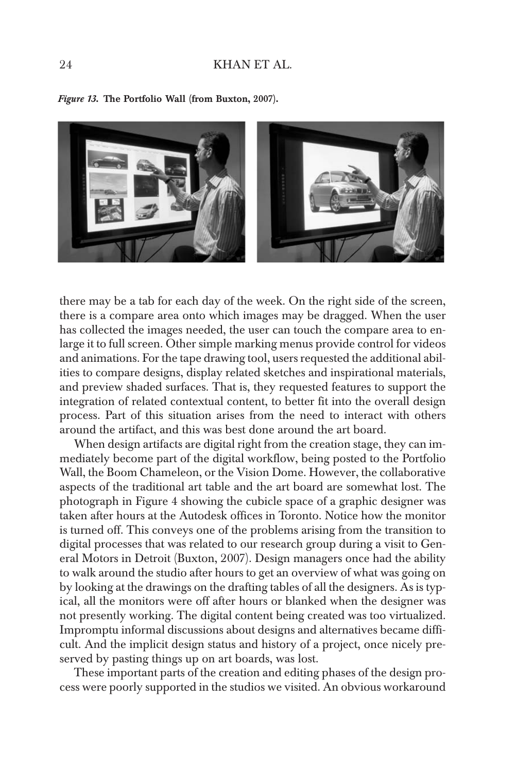

*Figure 13***. The Portfolio Wall (from Buxton, 2007).**

there may be a tab for each day of the week. On the right side of the screen, there is a compare area onto which images may be dragged. When the user has collected the images needed, the user can touch the compare area to enlarge it to full screen. Other simple marking menus provide control for videos and animations. For the tape drawing tool, users requested the additional abilities to compare designs, display related sketches and inspirational materials, and preview shaded surfaces. That is, they requested features to support the integration of related contextual content, to better fit into the overall design process. Part of this situation arises from the need to interact with others around the artifact, and this was best done around the art board.

When design artifacts are digital right from the creation stage, they can immediately become part of the digital workflow, being posted to the Portfolio Wall, the Boom Chameleon, or the Vision Dome. However, the collaborative aspects of the traditional art table and the art board are somewhat lost. The photograph in Figure 4 showing the cubicle space of a graphic designer was taken after hours at the Autodesk offices in Toronto. Notice how the monitor is turned off. This conveys one of the problems arising from the transition to digital processes that was related to our research group during a visit to General Motors in Detroit (Buxton, 2007). Design managers once had the ability to walk around the studio after hours to get an overview of what was going on by looking at the drawings on the drafting tables of all the designers. As is typical, all the monitors were off after hours or blanked when the designer was not presently working. The digital content being created was too virtualized. Impromptu informal discussions about designs and alternatives became difficult. And the implicit design status and history of a project, once nicely preserved by pasting things up on art boards, was lost.

These important parts of the creation and editing phases of the design process were poorly supported in the studios we visited. An obvious workaround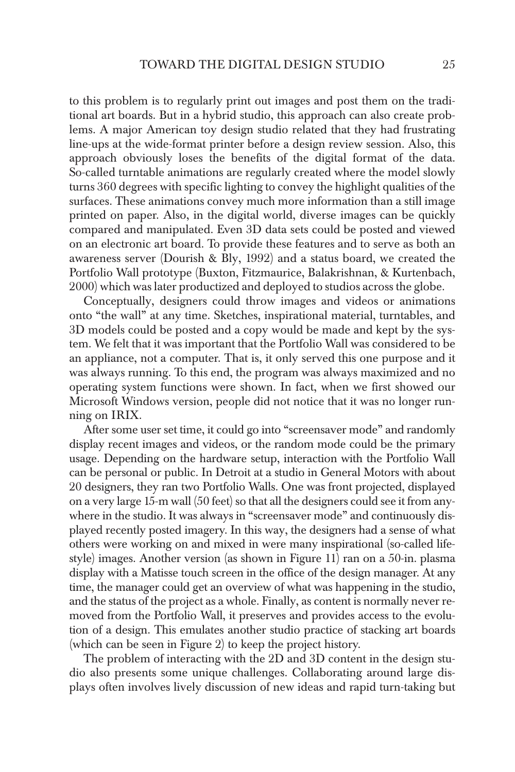to this problem is to regularly print out images and post them on the traditional art boards. But in a hybrid studio, this approach can also create problems. A major American toy design studio related that they had frustrating line-ups at the wide-format printer before a design review session. Also, this approach obviously loses the benefits of the digital format of the data. So-called turntable animations are regularly created where the model slowly turns 360 degrees with specific lighting to convey the highlight qualities of the surfaces. These animations convey much more information than a still image printed on paper. Also, in the digital world, diverse images can be quickly compared and manipulated. Even 3D data sets could be posted and viewed on an electronic art board. To provide these features and to serve as both an awareness server (Dourish & Bly, 1992) and a status board, we created the Portfolio Wall prototype (Buxton, Fitzmaurice, Balakrishnan, & Kurtenbach, 2000) which was later productized and deployed to studios across the globe.

Conceptually, designers could throw images and videos or animations onto "the wall" at any time. Sketches, inspirational material, turntables, and 3D models could be posted and a copy would be made and kept by the system. We felt that it was important that the Portfolio Wall was considered to be an appliance, not a computer. That is, it only served this one purpose and it was always running. To this end, the program was always maximized and no operating system functions were shown. In fact, when we first showed our Microsoft Windows version, people did not notice that it was no longer running on IRIX.

After some user set time, it could go into "screensaver mode" and randomly display recent images and videos, or the random mode could be the primary usage. Depending on the hardware setup, interaction with the Portfolio Wall can be personal or public. In Detroit at a studio in General Motors with about 20 designers, they ran two Portfolio Walls. One was front projected, displayed on a very large 15-m wall (50 feet) so that all the designers could see it from anywhere in the studio. It was always in "screensaver mode" and continuously displayed recently posted imagery. In this way, the designers had a sense of what others were working on and mixed in were many inspirational (so-called lifestyle) images. Another version (as shown in Figure 11) ran on a 50-in. plasma display with a Matisse touch screen in the office of the design manager. At any time, the manager could get an overview of what was happening in the studio, and the status of the project as a whole. Finally, as content is normally never removed from the Portfolio Wall, it preserves and provides access to the evolution of a design. This emulates another studio practice of stacking art boards (which can be seen in Figure 2) to keep the project history.

The problem of interacting with the 2D and 3D content in the design studio also presents some unique challenges. Collaborating around large displays often involves lively discussion of new ideas and rapid turn-taking but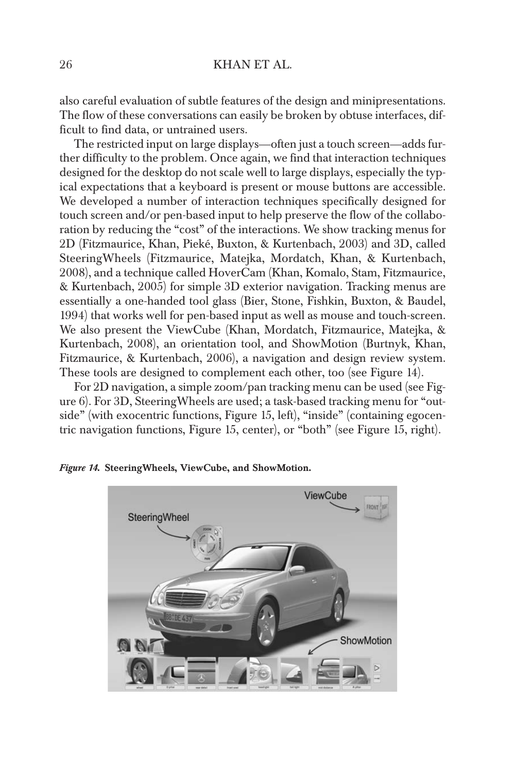also careful evaluation of subtle features of the design and minipresentations. The flow of these conversations can easily be broken by obtuse interfaces, difficult to find data, or untrained users.

The restricted input on large displays—often just a touch screen—adds further difficulty to the problem. Once again, we find that interaction techniques designed for the desktop do not scale well to large displays, especially the typical expectations that a keyboard is present or mouse buttons are accessible. We developed a number of interaction techniques specifically designed for touch screen and/or pen-based input to help preserve the flow of the collaboration by reducing the "cost" of the interactions. We show tracking menus for 2D (Fitzmaurice, Khan, Pieké, Buxton, & Kurtenbach, 2003) and 3D, called SteeringWheels (Fitzmaurice, Matejka, Mordatch, Khan, & Kurtenbach, 2008), and a technique called HoverCam (Khan, Komalo, Stam, Fitzmaurice, & Kurtenbach, 2005) for simple 3D exterior navigation. Tracking menus are essentially a one-handed tool glass (Bier, Stone, Fishkin, Buxton, & Baudel, 1994) that works well for pen-based input as well as mouse and touch-screen. We also present the ViewCube (Khan, Mordatch, Fitzmaurice, Matejka, & Kurtenbach, 2008), an orientation tool, and ShowMotion (Burtnyk, Khan, Fitzmaurice, & Kurtenbach, 2006), a navigation and design review system. These tools are designed to complement each other, too (see Figure 14).

For 2D navigation, a simple zoom/pan tracking menu can be used (see Figure 6). For 3D, SteeringWheels are used; a task-based tracking menu for "outside" (with exocentric functions, Figure 15, left), "inside" (containing egocentric navigation functions, Figure 15, center), or "both" (see Figure 15, right).



*Figure 14.* **SteeringWheels, ViewCube, and ShowMotion.**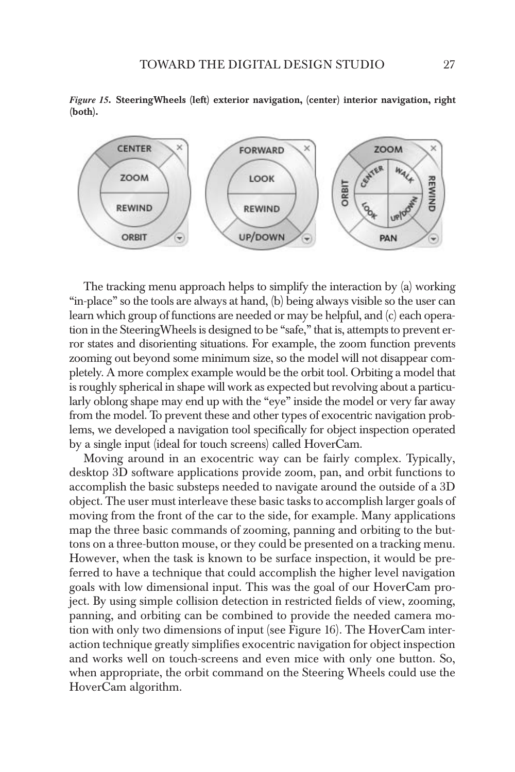



The tracking menu approach helps to simplify the interaction by (a) working "in-place" so the tools are always at hand, (b) being always visible so the user can learn which group of functions are needed or may be helpful, and (c) each operation in the SteeringWheels is designed to be "safe," that is, attempts to prevent error states and disorienting situations. For example, the zoom function prevents zooming out beyond some minimum size, so the model will not disappear completely. A more complex example would be the orbit tool. Orbiting a model that is roughly spherical in shape will work as expected but revolving about a particularly oblong shape may end up with the "eye" inside the model or very far away from the model. To prevent these and other types of exocentric navigation problems, we developed a navigation tool specifically for object inspection operated by a single input (ideal for touch screens) called HoverCam.

Moving around in an exocentric way can be fairly complex. Typically, desktop 3D software applications provide zoom, pan, and orbit functions to accomplish the basic substeps needed to navigate around the outside of a 3D object. The user must interleave these basic tasks to accomplish larger goals of moving from the front of the car to the side, for example. Many applications map the three basic commands of zooming, panning and orbiting to the buttons on a three-button mouse, or they could be presented on a tracking menu. However, when the task is known to be surface inspection, it would be preferred to have a technique that could accomplish the higher level navigation goals with low dimensional input. This was the goal of our HoverCam project. By using simple collision detection in restricted fields of view, zooming, panning, and orbiting can be combined to provide the needed camera motion with only two dimensions of input (see Figure 16). The HoverCam interaction technique greatly simplifies exocentric navigation for object inspection and works well on touch-screens and even mice with only one button. So, when appropriate, the orbit command on the Steering Wheels could use the HoverCam algorithm.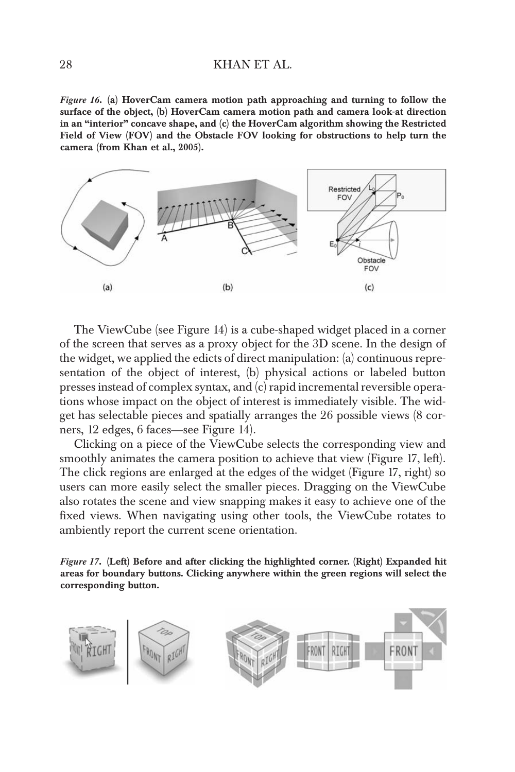*Figure 16.* **(a) HoverCam camera motion path approaching and turning to follow the surface of the object, (b) HoverCam camera motion path and camera look-at direction in an "interior" concave shape, and (c) the HoverCam algorithm showing the Restricted Field of View (FOV) and the Obstacle FOV looking for obstructions to help turn the camera (from Khan et al., 2005).**



The ViewCube (see Figure 14) is a cube-shaped widget placed in a corner of the screen that serves as a proxy object for the 3D scene. In the design of the widget, we applied the edicts of direct manipulation: (a) continuous representation of the object of interest, (b) physical actions or labeled button presses instead of complex syntax, and (c) rapid incremental reversible operations whose impact on the object of interest is immediately visible. The widget has selectable pieces and spatially arranges the 26 possible views (8 corners, 12 edges, 6 faces—see Figure 14).

Clicking on a piece of the ViewCube selects the corresponding view and smoothly animates the camera position to achieve that view (Figure 17, left). The click regions are enlarged at the edges of the widget (Figure 17, right) so users can more easily select the smaller pieces. Dragging on the ViewCube also rotates the scene and view snapping makes it easy to achieve one of the fixed views. When navigating using other tools, the ViewCube rotates to ambiently report the current scene orientation.

*Figure 17.* **(Left) Before and after clicking the highlighted corner. (Right) Expanded hit areas for boundary buttons. Clicking anywhere within the green regions will select the corresponding button.**

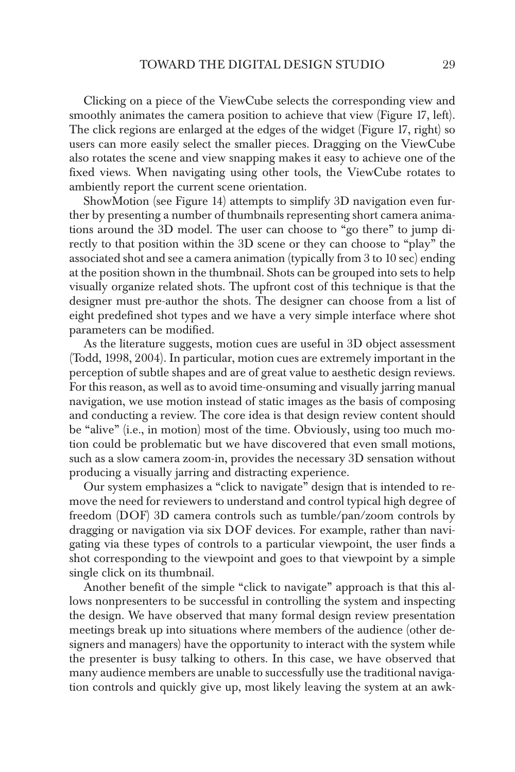Clicking on a piece of the ViewCube selects the corresponding view and smoothly animates the camera position to achieve that view (Figure 17, left). The click regions are enlarged at the edges of the widget (Figure 17, right) so users can more easily select the smaller pieces. Dragging on the ViewCube also rotates the scene and view snapping makes it easy to achieve one of the fixed views. When navigating using other tools, the ViewCube rotates to ambiently report the current scene orientation.

ShowMotion (see Figure 14) attempts to simplify 3D navigation even further by presenting a number of thumbnails representing short camera animations around the 3D model. The user can choose to "go there" to jump directly to that position within the 3D scene or they can choose to "play" the associated shot and see a camera animation (typically from 3 to 10 sec) ending at the position shown in the thumbnail. Shots can be grouped into sets to help visually organize related shots. The upfront cost of this technique is that the designer must pre-author the shots. The designer can choose from a list of eight predefined shot types and we have a very simple interface where shot parameters can be modified.

As the literature suggests, motion cues are useful in 3D object assessment (Todd, 1998, 2004). In particular, motion cues are extremely important in the perception of subtle shapes and are of great value to aesthetic design reviews. For this reason, as well as to avoid time-onsuming and visually jarring manual navigation, we use motion instead of static images as the basis of composing and conducting a review. The core idea is that design review content should be "alive" (i.e., in motion) most of the time. Obviously, using too much motion could be problematic but we have discovered that even small motions, such as a slow camera zoom-in, provides the necessary 3D sensation without producing a visually jarring and distracting experience.

Our system emphasizes a "click to navigate" design that is intended to remove the need for reviewers to understand and control typical high degree of freedom (DOF) 3D camera controls such as tumble/pan/zoom controls by dragging or navigation via six DOF devices. For example, rather than navigating via these types of controls to a particular viewpoint, the user finds a shot corresponding to the viewpoint and goes to that viewpoint by a simple single click on its thumbnail.

Another benefit of the simple "click to navigate" approach is that this allows nonpresenters to be successful in controlling the system and inspecting the design. We have observed that many formal design review presentation meetings break up into situations where members of the audience (other designers and managers) have the opportunity to interact with the system while the presenter is busy talking to others. In this case, we have observed that many audience members are unable to successfully use the traditional navigation controls and quickly give up, most likely leaving the system at an awk-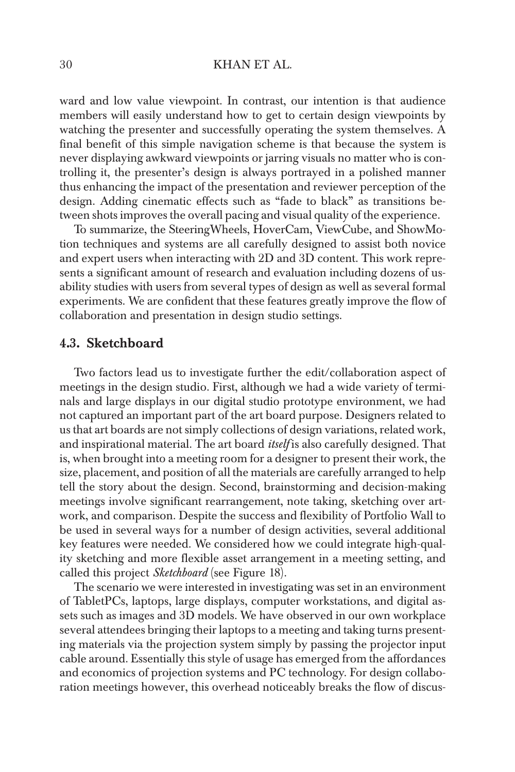ward and low value viewpoint. In contrast, our intention is that audience members will easily understand how to get to certain design viewpoints by watching the presenter and successfully operating the system themselves. A final benefit of this simple navigation scheme is that because the system is never displaying awkward viewpoints or jarring visuals no matter who is controlling it, the presenter's design is always portrayed in a polished manner thus enhancing the impact of the presentation and reviewer perception of the design. Adding cinematic effects such as "fade to black" as transitions between shots improves the overall pacing and visual quality of the experience.

To summarize, the SteeringWheels, HoverCam, ViewCube, and ShowMotion techniques and systems are all carefully designed to assist both novice and expert users when interacting with 2D and 3D content. This work represents a significant amount of research and evaluation including dozens of usability studies with users from several types of design as well as several formal experiments. We are confident that these features greatly improve the flow of collaboration and presentation in design studio settings.

## **4.3. Sketchboard**

Two factors lead us to investigate further the edit/collaboration aspect of meetings in the design studio. First, although we had a wide variety of terminals and large displays in our digital studio prototype environment, we had not captured an important part of the art board purpose. Designers related to us that art boards are not simply collections of design variations, related work, and inspirational material. The art board *itself* is also carefully designed. That is, when brought into a meeting room for a designer to present their work, the size, placement, and position of all the materials are carefully arranged to help tell the story about the design. Second, brainstorming and decision-making meetings involve significant rearrangement, note taking, sketching over artwork, and comparison. Despite the success and flexibility of Portfolio Wall to be used in several ways for a number of design activities, several additional key features were needed. We considered how we could integrate high-quality sketching and more flexible asset arrangement in a meeting setting, and called this project *Sketchboard* (see Figure 18).

The scenario we were interested in investigating was set in an environment of TabletPCs, laptops, large displays, computer workstations, and digital assets such as images and 3D models. We have observed in our own workplace several attendees bringing their laptops to a meeting and taking turns presenting materials via the projection system simply by passing the projector input cable around. Essentially this style of usage has emerged from the affordances and economics of projection systems and PC technology. For design collaboration meetings however, this overhead noticeably breaks the flow of discus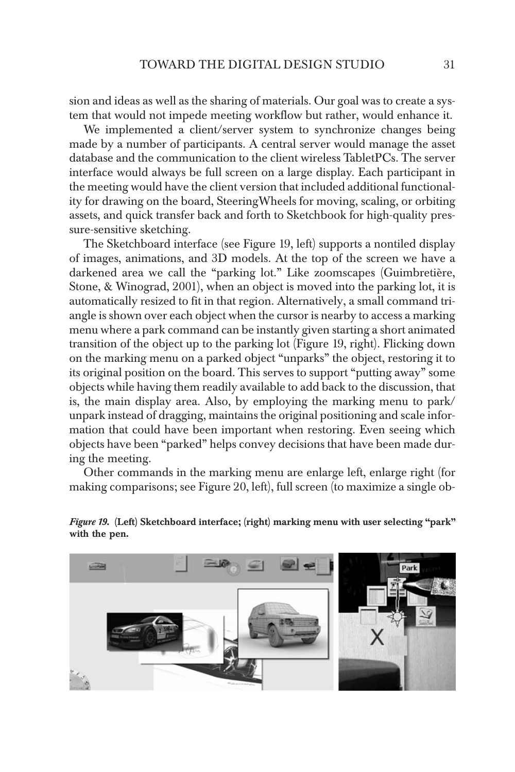sion and ideas as well as the sharing of materials. Our goal was to create a system that would not impede meeting workflow but rather, would enhance it.

We implemented a client/server system to synchronize changes being made by a number of participants. A central server would manage the asset database and the communication to the client wireless TabletPCs. The server interface would always be full screen on a large display. Each participant in the meeting would have the client version that included additional functionality for drawing on the board, SteeringWheels for moving, scaling, or orbiting assets, and quick transfer back and forth to Sketchbook for high-quality pressure-sensitive sketching.

The Sketchboard interface (see Figure 19, left) supports a nontiled display of images, animations, and 3D models. At the top of the screen we have a darkened area we call the "parking lot." Like zoomscapes (Guimbretière, Stone, & Winograd, 2001), when an object is moved into the parking lot, it is automatically resized to fit in that region. Alternatively, a small command triangle is shown over each object when the cursor is nearby to access a marking menu where a park command can be instantly given starting a short animated transition of the object up to the parking lot (Figure 19, right). Flicking down on the marking menu on a parked object "unparks" the object, restoring it to its original position on the board. This serves to support "putting away" some objects while having them readily available to add back to the discussion, that is, the main display area. Also, by employing the marking menu to park/ unpark instead of dragging, maintains the original positioning and scale information that could have been important when restoring. Even seeing which objects have been "parked" helps convey decisions that have been made during the meeting.

Other commands in the marking menu are enlarge left, enlarge right (for making comparisons; see Figure 20, left), full screen (to maximize a single ob-

*Figure 19***. (Left) Sketchboard interface; (right) marking menu with user selecting "park" with the pen.**

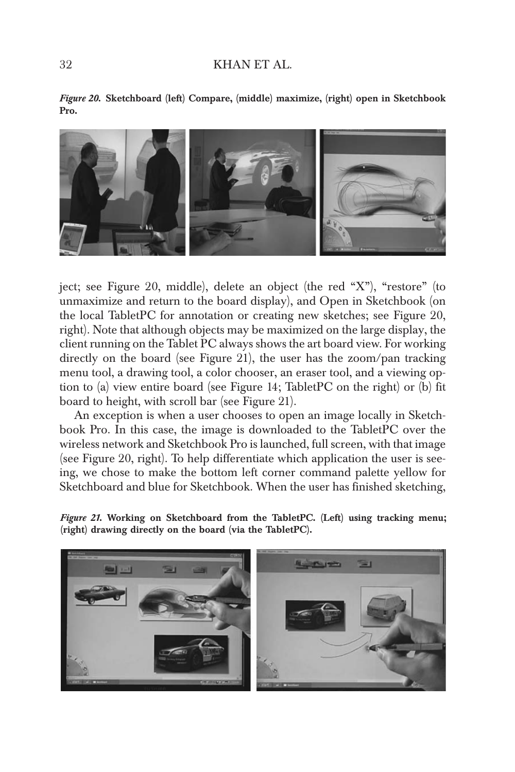*Figure 20***. Sketchboard (left) Compare, (middle) maximize, (right) open in Sketchbook Pro.**



ject; see Figure 20, middle), delete an object (the red "X"), "restore" (to unmaximize and return to the board display), and Open in Sketchbook (on the local TabletPC for annotation or creating new sketches; see Figure 20, right). Note that although objects may be maximized on the large display, the client running on the Tablet PC always shows the art board view. For working directly on the board (see Figure 21), the user has the zoom/pan tracking menu tool, a drawing tool, a color chooser, an eraser tool, and a viewing option to (a) view entire board (see Figure 14; TabletPC on the right) or (b) fit board to height, with scroll bar (see Figure 21).

An exception is when a user chooses to open an image locally in Sketchbook Pro. In this case, the image is downloaded to the TabletPC over the wireless network and Sketchbook Pro is launched, full screen, with that image (see Figure 20, right). To help differentiate which application the user is seeing, we chose to make the bottom left corner command palette yellow for Sketchboard and blue for Sketchbook. When the user has finished sketching,

*Figure 21***. Working on Sketchboard from the TabletPC. (Left) using tracking menu; (right) drawing directly on the board (via the TabletPC).**

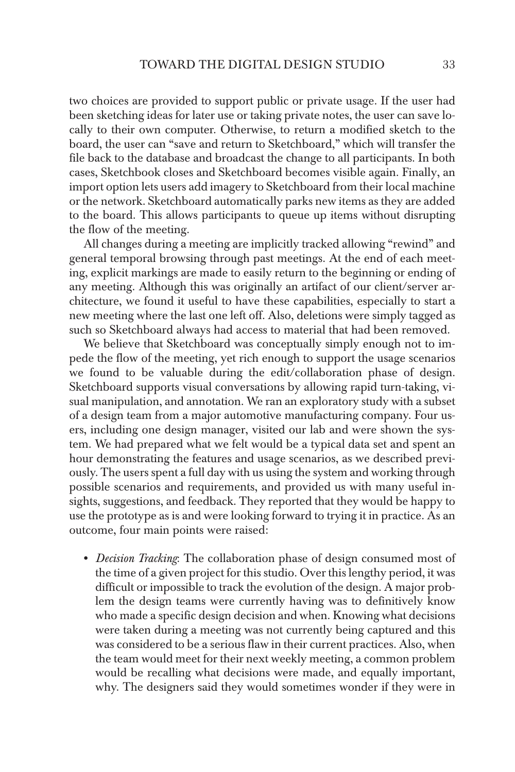two choices are provided to support public or private usage. If the user had been sketching ideas for later use or taking private notes, the user can save locally to their own computer. Otherwise, to return a modified sketch to the board, the user can "save and return to Sketchboard," which will transfer the file back to the database and broadcast the change to all participants. In both cases, Sketchbook closes and Sketchboard becomes visible again. Finally, an import option lets users add imagery to Sketchboard from their local machine or the network. Sketchboard automatically parks new items as they are added to the board. This allows participants to queue up items without disrupting the flow of the meeting.

All changes during a meeting are implicitly tracked allowing "rewind" and general temporal browsing through past meetings. At the end of each meeting, explicit markings are made to easily return to the beginning or ending of any meeting. Although this was originally an artifact of our client/server architecture, we found it useful to have these capabilities, especially to start a new meeting where the last one left off. Also, deletions were simply tagged as such so Sketchboard always had access to material that had been removed.

We believe that Sketchboard was conceptually simply enough not to impede the flow of the meeting, yet rich enough to support the usage scenarios we found to be valuable during the edit/collaboration phase of design. Sketchboard supports visual conversations by allowing rapid turn-taking, visual manipulation, and annotation. We ran an exploratory study with a subset of a design team from a major automotive manufacturing company. Four users, including one design manager, visited our lab and were shown the system. We had prepared what we felt would be a typical data set and spent an hour demonstrating the features and usage scenarios, as we described previously. The users spent a full day with us using the system and working through possible scenarios and requirements, and provided us with many useful insights, suggestions, and feedback. They reported that they would be happy to use the prototype as is and were looking forward to trying it in practice. As an outcome, four main points were raised:

• *Decision Tracking*: The collaboration phase of design consumed most of the time of a given project for this studio. Over this lengthy period, it was difficult or impossible to track the evolution of the design. A major problem the design teams were currently having was to definitively know who made a specific design decision and when. Knowing what decisions were taken during a meeting was not currently being captured and this was considered to be a serious flaw in their current practices. Also, when the team would meet for their next weekly meeting, a common problem would be recalling what decisions were made, and equally important, why. The designers said they would sometimes wonder if they were in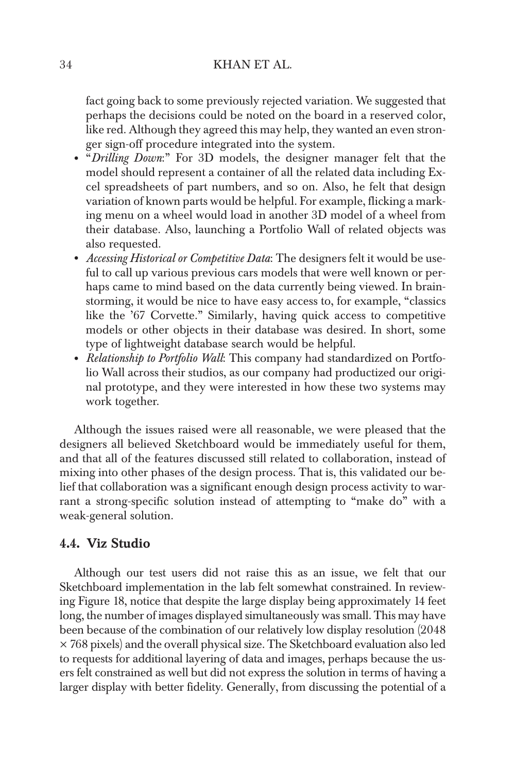fact going back to some previously rejected variation. We suggested that perhaps the decisions could be noted on the board in a reserved color, like red. Although they agreed this may help, they wanted an even stronger sign-off procedure integrated into the system.

- "*Drilling Down*:" For 3D models, the designer manager felt that the model should represent a container of all the related data including Excel spreadsheets of part numbers, and so on. Also, he felt that design variation of known parts would be helpful. For example, flicking a marking menu on a wheel would load in another 3D model of a wheel from their database. Also, launching a Portfolio Wall of related objects was also requested.
- *Accessing Historical or Competitive Data*: The designers felt it would be useful to call up various previous cars models that were well known or perhaps came to mind based on the data currently being viewed. In brainstorming, it would be nice to have easy access to, for example, "classics like the '67 Corvette." Similarly, having quick access to competitive models or other objects in their database was desired. In short, some type of lightweight database search would be helpful.
- *Relationship to Portfolio Wall*: This company had standardized on Portfolio Wall across their studios, as our company had productized our original prototype, and they were interested in how these two systems may work together.

Although the issues raised were all reasonable, we were pleased that the designers all believed Sketchboard would be immediately useful for them, and that all of the features discussed still related to collaboration, instead of mixing into other phases of the design process. That is, this validated our belief that collaboration was a significant enough design process activity to warrant a strong-specific solution instead of attempting to "make do" with a weak-general solution.

#### **4.4. Viz Studio**

Although our test users did not raise this as an issue, we felt that our Sketchboard implementation in the lab felt somewhat constrained. In reviewing Figure 18, notice that despite the large display being approximately 14 feet long, the number of images displayed simultaneously was small. This may have been because of the combination of our relatively low display resolution (2048 × 768 pixels) and the overall physical size. The Sketchboard evaluation also led to requests for additional layering of data and images, perhaps because the users felt constrained as well but did not express the solution in terms of having a larger display with better fidelity. Generally, from discussing the potential of a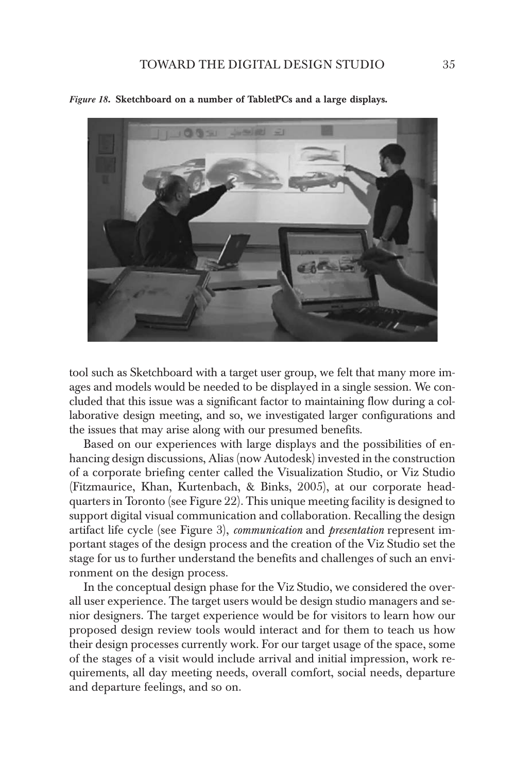

*Figure 18.* **Sketchboard on a number of TabletPCs and a large displays.**

tool such as Sketchboard with a target user group, we felt that many more images and models would be needed to be displayed in a single session. We concluded that this issue was a significant factor to maintaining flow during a collaborative design meeting, and so, we investigated larger configurations and the issues that may arise along with our presumed benefits.

Based on our experiences with large displays and the possibilities of enhancing design discussions, Alias (now Autodesk) invested in the construction of a corporate briefing center called the Visualization Studio, or Viz Studio (Fitzmaurice, Khan, Kurtenbach, & Binks, 2005), at our corporate headquarters in Toronto (see Figure 22). This unique meeting facility is designed to support digital visual communication and collaboration. Recalling the design artifact life cycle (see Figure 3), *communication* and *presentation* represent important stages of the design process and the creation of the Viz Studio set the stage for us to further understand the benefits and challenges of such an environment on the design process.

In the conceptual design phase for the Viz Studio, we considered the overall user experience. The target users would be design studio managers and senior designers. The target experience would be for visitors to learn how our proposed design review tools would interact and for them to teach us how their design processes currently work. For our target usage of the space, some of the stages of a visit would include arrival and initial impression, work requirements, all day meeting needs, overall comfort, social needs, departure and departure feelings, and so on.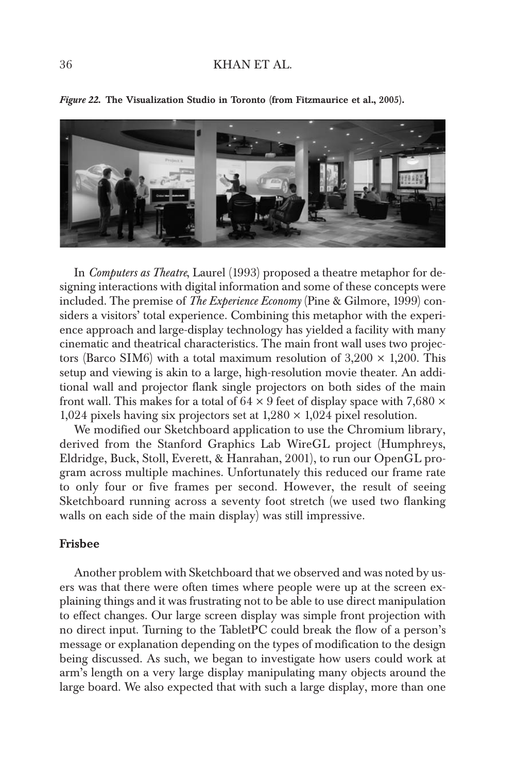

*Figure 22***. The Visualization Studio in Toronto (from Fitzmaurice et al., 2005).**

In *Computers as Theatre*, Laurel (1993) proposed a theatre metaphor for designing interactions with digital information and some of these concepts were included. The premise of *The Experience Economy* (Pine & Gilmore, 1999) considers a visitors' total experience. Combining this metaphor with the experience approach and large-display technology has yielded a facility with many cinematic and theatrical characteristics. The main front wall uses two projectors (Barco SIM6) with a total maximum resolution of  $3,200 \times 1,200$ . This setup and viewing is akin to a large, high-resolution movie theater. An additional wall and projector flank single projectors on both sides of the main front wall. This makes for a total of  $64 \times 9$  feet of display space with  $7,680 \times$ 1,024 pixels having six projectors set at  $1,280 \times 1,024$  pixel resolution.

We modified our Sketchboard application to use the Chromium library, derived from the Stanford Graphics Lab WireGL project (Humphreys, Eldridge, Buck, Stoll, Everett, & Hanrahan, 2001), to run our OpenGL program across multiple machines. Unfortunately this reduced our frame rate to only four or five frames per second. However, the result of seeing Sketchboard running across a seventy foot stretch (we used two flanking walls on each side of the main display) was still impressive.

#### **Frisbee**

Another problem with Sketchboard that we observed and was noted by users was that there were often times where people were up at the screen explaining things and it was frustrating not to be able to use direct manipulation to effect changes. Our large screen display was simple front projection with no direct input. Turning to the TabletPC could break the flow of a person's message or explanation depending on the types of modification to the design being discussed. As such, we began to investigate how users could work at arm's length on a very large display manipulating many objects around the large board. We also expected that with such a large display, more than one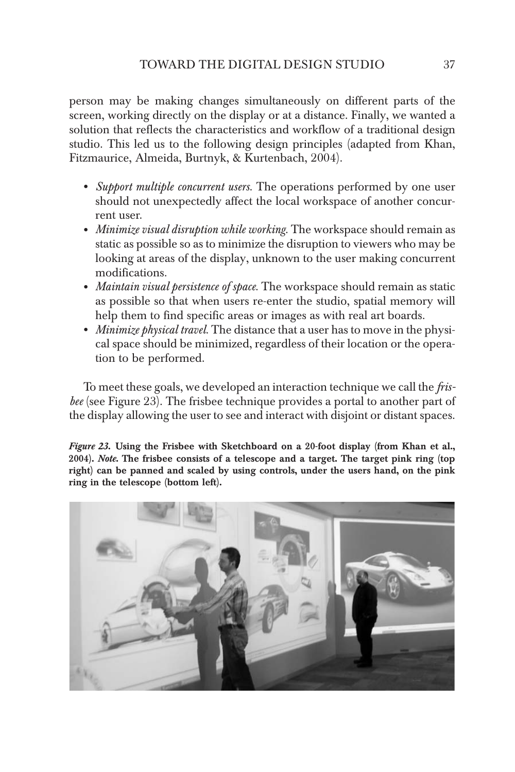person may be making changes simultaneously on different parts of the screen, working directly on the display or at a distance. Finally, we wanted a solution that reflects the characteristics and workflow of a traditional design studio. This led us to the following design principles (adapted from Khan, Fitzmaurice, Almeida, Burtnyk, & Kurtenbach, 2004).

- *Support multiple concurrent users*. The operations performed by one user should not unexpectedly affect the local workspace of another concurrent user.
- *Minimize visual disruption while working*. The workspace should remain as static as possible so as to minimize the disruption to viewers who may be looking at areas of the display, unknown to the user making concurrent modifications.
- *Maintain visual persistence of space*. The workspace should remain as static as possible so that when users re-enter the studio, spatial memory will help them to find specific areas or images as with real art boards.
- *Minimize physical travel*. The distance that a user has to move in the physical space should be minimized, regardless of their location or the operation to be performed.

To meet these goals, we developed an interaction technique we call the *frisbee* (see Figure 23). The frisbee technique provides a portal to another part of the display allowing the user to see and interact with disjoint or distant spaces.

*Figure 23***. Using the Frisbee with Sketchboard on a 20-foot display (from Khan et al., 2004).** *Note.* **The frisbee consists of a telescope and a target. The target pink ring (top right) can be panned and scaled by using controls, under the users hand, on the pink ring in the telescope (bottom left).**

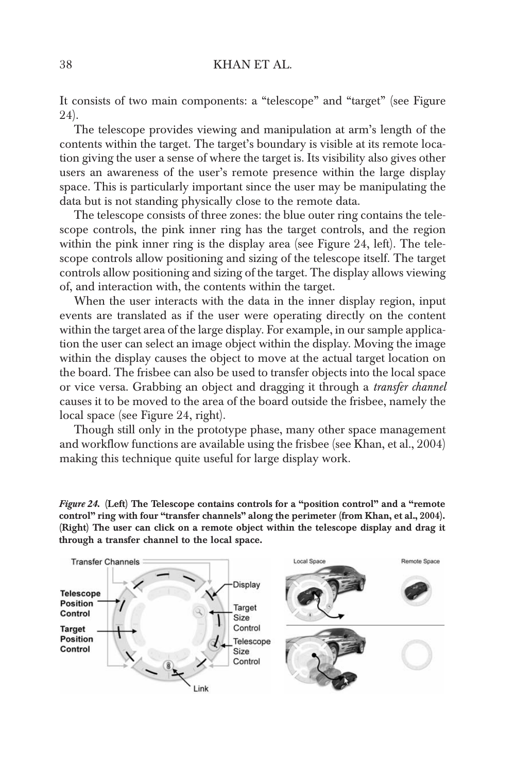It consists of two main components: a "telescope" and "target" (see Figure 24).

The telescope provides viewing and manipulation at arm's length of the contents within the target. The target's boundary is visible at its remote location giving the user a sense of where the target is. Its visibility also gives other users an awareness of the user's remote presence within the large display space. This is particularly important since the user may be manipulating the data but is not standing physically close to the remote data.

The telescope consists of three zones: the blue outer ring contains the telescope controls, the pink inner ring has the target controls, and the region within the pink inner ring is the display area (see Figure 24, left). The telescope controls allow positioning and sizing of the telescope itself. The target controls allow positioning and sizing of the target. The display allows viewing of, and interaction with, the contents within the target.

When the user interacts with the data in the inner display region, input events are translated as if the user were operating directly on the content within the target area of the large display. For example, in our sample application the user can select an image object within the display. Moving the image within the display causes the object to move at the actual target location on the board. The frisbee can also be used to transfer objects into the local space or vice versa. Grabbing an object and dragging it through a *transfer channel* causes it to be moved to the area of the board outside the frisbee, namely the local space (see Figure 24, right).

Though still only in the prototype phase, many other space management and workflow functions are available using the frisbee (see Khan, et al., 2004) making this technique quite useful for large display work.

*Figure 24***. (Left) The Telescope contains controls for a "position control" and a "remote control" ring with four "transfer channels" along the perimeter (from Khan, et al., 2004). (Right) The user can click on a remote object within the telescope display and drag it through a transfer channel to the local space.**

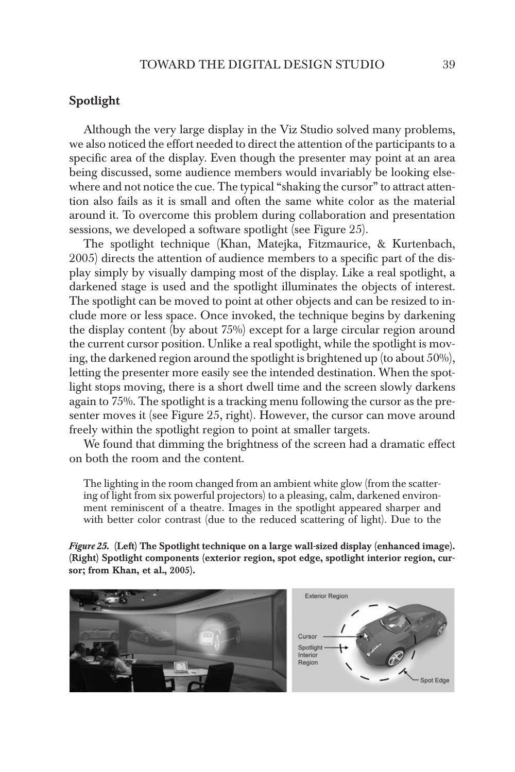#### **Spotlight**

Although the very large display in the Viz Studio solved many problems, we also noticed the effort needed to direct the attention of the participants to a specific area of the display. Even though the presenter may point at an area being discussed, some audience members would invariably be looking elsewhere and not notice the cue. The typical "shaking the cursor" to attract attention also fails as it is small and often the same white color as the material around it. To overcome this problem during collaboration and presentation sessions, we developed a software spotlight (see Figure 25).

The spotlight technique (Khan, Matejka, Fitzmaurice, & Kurtenbach, 2005) directs the attention of audience members to a specific part of the display simply by visually damping most of the display. Like a real spotlight, a darkened stage is used and the spotlight illuminates the objects of interest. The spotlight can be moved to point at other objects and can be resized to include more or less space. Once invoked, the technique begins by darkening the display content (by about 75%) except for a large circular region around the current cursor position. Unlike a real spotlight, while the spotlight is moving, the darkened region around the spotlight is brightened up (to about 50%), letting the presenter more easily see the intended destination. When the spotlight stops moving, there is a short dwell time and the screen slowly darkens again to 75%. The spotlight is a tracking menu following the cursor as the presenter moves it (see Figure 25, right). However, the cursor can move around freely within the spotlight region to point at smaller targets.

We found that dimming the brightness of the screen had a dramatic effect on both the room and the content.

The lighting in the room changed from an ambient white glow (from the scattering of light from six powerful projectors) to a pleasing, calm, darkened environment reminiscent of a theatre. Images in the spotlight appeared sharper and with better color contrast (due to the reduced scattering of light). Due to the

*Figure 25***. (Left) The Spotlight technique on a large wall-sized display (enhanced image). (Right) Spotlight components (exterior region, spot edge, spotlight interior region, cursor; from Khan, et al., 2005).**

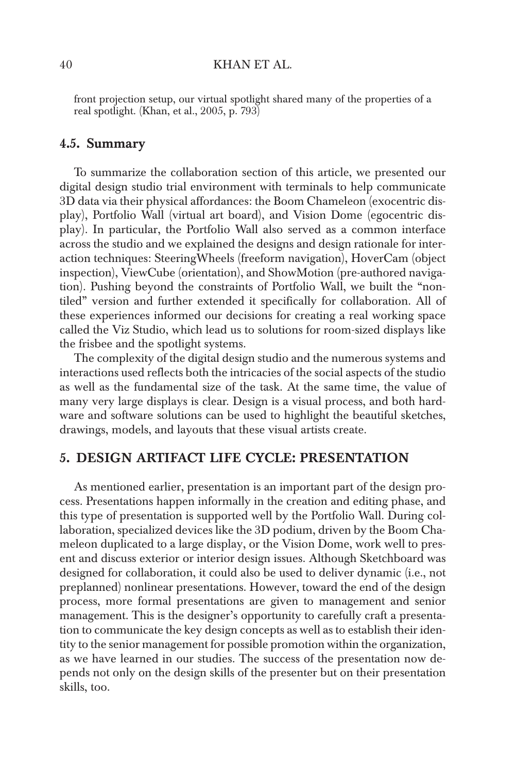front projection setup, our virtual spotlight shared many of the properties of a real spotlight. (Khan, et al., 2005, p. 793)

#### **4.5. Summary**

To summarize the collaboration section of this article, we presented our digital design studio trial environment with terminals to help communicate 3D data via their physical affordances: the Boom Chameleon (exocentric display), Portfolio Wall (virtual art board), and Vision Dome (egocentric display). In particular, the Portfolio Wall also served as a common interface across the studio and we explained the designs and design rationale for interaction techniques: SteeringWheels (freeform navigation), HoverCam (object inspection), ViewCube (orientation), and ShowMotion (pre-authored navigation). Pushing beyond the constraints of Portfolio Wall, we built the "nontiled" version and further extended it specifically for collaboration. All of these experiences informed our decisions for creating a real working space called the Viz Studio, which lead us to solutions for room-sized displays like the frisbee and the spotlight systems.

The complexity of the digital design studio and the numerous systems and interactions used reflects both the intricacies of the social aspects of the studio as well as the fundamental size of the task. At the same time, the value of many very large displays is clear. Design is a visual process, and both hardware and software solutions can be used to highlight the beautiful sketches, drawings, models, and layouts that these visual artists create.

# **5. DESIGN ARTIFACT LIFE CYCLE: PRESENTATION**

As mentioned earlier, presentation is an important part of the design process. Presentations happen informally in the creation and editing phase, and this type of presentation is supported well by the Portfolio Wall. During collaboration, specialized devices like the 3D podium, driven by the Boom Chameleon duplicated to a large display, or the Vision Dome, work well to present and discuss exterior or interior design issues. Although Sketchboard was designed for collaboration, it could also be used to deliver dynamic (i.e., not preplanned) nonlinear presentations. However, toward the end of the design process, more formal presentations are given to management and senior management. This is the designer's opportunity to carefully craft a presentation to communicate the key design concepts as well as to establish their identity to the senior management for possible promotion within the organization, as we have learned in our studies. The success of the presentation now depends not only on the design skills of the presenter but on their presentation skills, too.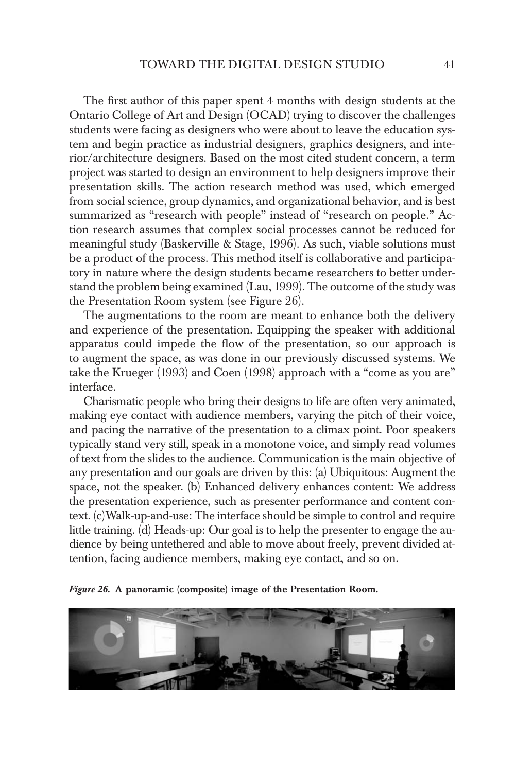The first author of this paper spent 4 months with design students at the Ontario College of Art and Design (OCAD) trying to discover the challenges students were facing as designers who were about to leave the education system and begin practice as industrial designers, graphics designers, and interior/architecture designers. Based on the most cited student concern, a term project was started to design an environment to help designers improve their presentation skills. The action research method was used, which emerged from social science, group dynamics, and organizational behavior, and is best summarized as "research with people" instead of "research on people." Action research assumes that complex social processes cannot be reduced for meaningful study (Baskerville & Stage, 1996). As such, viable solutions must be a product of the process. This method itself is collaborative and participatory in nature where the design students became researchers to better understand the problem being examined (Lau, 1999). The outcome of the study was the Presentation Room system (see Figure 26).

The augmentations to the room are meant to enhance both the delivery and experience of the presentation. Equipping the speaker with additional apparatus could impede the flow of the presentation, so our approach is to augment the space, as was done in our previously discussed systems. We take the Krueger (1993) and Coen (1998) approach with a "come as you are" interface.

Charismatic people who bring their designs to life are often very animated, making eye contact with audience members, varying the pitch of their voice, and pacing the narrative of the presentation to a climax point. Poor speakers typically stand very still, speak in a monotone voice, and simply read volumes of text from the slides to the audience. Communication is the main objective of any presentation and our goals are driven by this: (a) Ubiquitous: Augment the space, not the speaker. (b) Enhanced delivery enhances content: We address the presentation experience, such as presenter performance and content context. (c)Walk-up-and-use: The interface should be simple to control and require little training. (d) Heads-up: Our goal is to help the presenter to engage the audience by being untethered and able to move about freely, prevent divided attention, facing audience members, making eye contact, and so on.



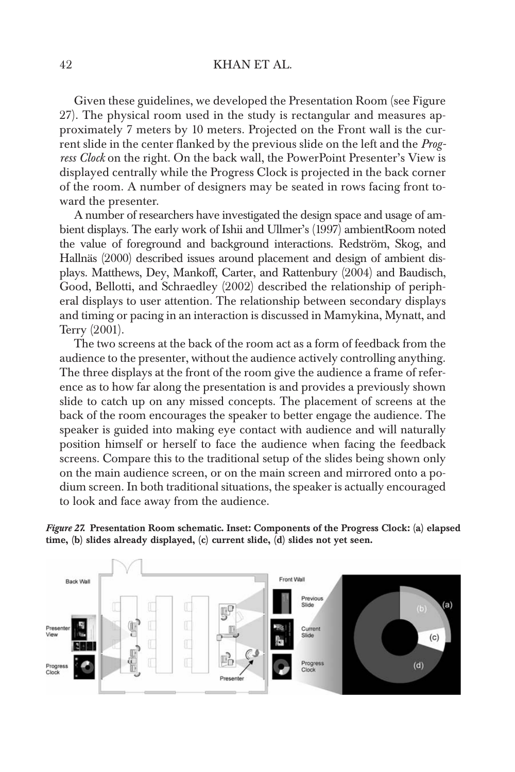Given these guidelines, we developed the Presentation Room (see Figure 27). The physical room used in the study is rectangular and measures approximately 7 meters by 10 meters. Projected on the Front wall is the current slide in the center flanked by the previous slide on the left and the *Progress Clock* on the right. On the back wall, the PowerPoint Presenter's View is displayed centrally while the Progress Clock is projected in the back corner of the room. A number of designers may be seated in rows facing front toward the presenter.

A number of researchers have investigated the design space and usage of ambient displays. The early work of Ishii and Ullmer's (1997) ambientRoom noted the value of foreground and background interactions. Redström, Skog, and Hallnäs (2000) described issues around placement and design of ambient displays. Matthews, Dey, Mankoff, Carter, and Rattenbury (2004) and Baudisch, Good, Bellotti, and Schraedley (2002) described the relationship of peripheral displays to user attention. The relationship between secondary displays and timing or pacing in an interaction is discussed in Mamykina, Mynatt, and Terry (2001).

The two screens at the back of the room act as a form of feedback from the audience to the presenter, without the audience actively controlling anything. The three displays at the front of the room give the audience a frame of reference as to how far along the presentation is and provides a previously shown slide to catch up on any missed concepts. The placement of screens at the back of the room encourages the speaker to better engage the audience. The speaker is guided into making eye contact with audience and will naturally position himself or herself to face the audience when facing the feedback screens. Compare this to the traditional setup of the slides being shown only on the main audience screen, or on the main screen and mirrored onto a podium screen. In both traditional situations, the speaker is actually encouraged to look and face away from the audience.



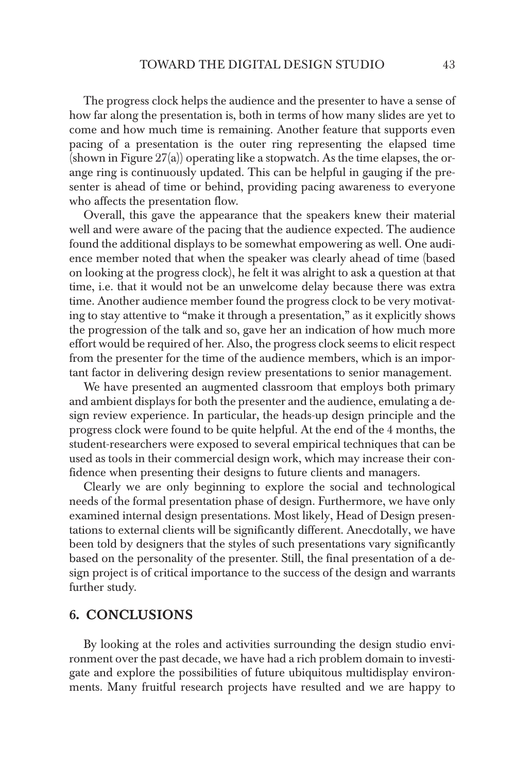The progress clock helps the audience and the presenter to have a sense of how far along the presentation is, both in terms of how many slides are yet to come and how much time is remaining. Another feature that supports even pacing of a presentation is the outer ring representing the elapsed time (shown in Figure  $27(a)$ ) operating like a stopwatch. As the time elapses, the orange ring is continuously updated. This can be helpful in gauging if the presenter is ahead of time or behind, providing pacing awareness to everyone who affects the presentation flow.

Overall, this gave the appearance that the speakers knew their material well and were aware of the pacing that the audience expected. The audience found the additional displays to be somewhat empowering as well. One audience member noted that when the speaker was clearly ahead of time (based on looking at the progress clock), he felt it was alright to ask a question at that time, i.e. that it would not be an unwelcome delay because there was extra time. Another audience member found the progress clock to be very motivating to stay attentive to "make it through a presentation," as it explicitly shows the progression of the talk and so, gave her an indication of how much more effort would be required of her. Also, the progress clock seems to elicit respect from the presenter for the time of the audience members, which is an important factor in delivering design review presentations to senior management.

We have presented an augmented classroom that employs both primary and ambient displays for both the presenter and the audience, emulating a design review experience. In particular, the heads-up design principle and the progress clock were found to be quite helpful. At the end of the 4 months, the student-researchers were exposed to several empirical techniques that can be used as tools in their commercial design work, which may increase their confidence when presenting their designs to future clients and managers.

Clearly we are only beginning to explore the social and technological needs of the formal presentation phase of design. Furthermore, we have only examined internal design presentations. Most likely, Head of Design presentations to external clients will be significantly different. Anecdotally, we have been told by designers that the styles of such presentations vary significantly based on the personality of the presenter. Still, the final presentation of a design project is of critical importance to the success of the design and warrants further study.

## **6. CONCLUSIONS**

By looking at the roles and activities surrounding the design studio environment over the past decade, we have had a rich problem domain to investigate and explore the possibilities of future ubiquitous multidisplay environments. Many fruitful research projects have resulted and we are happy to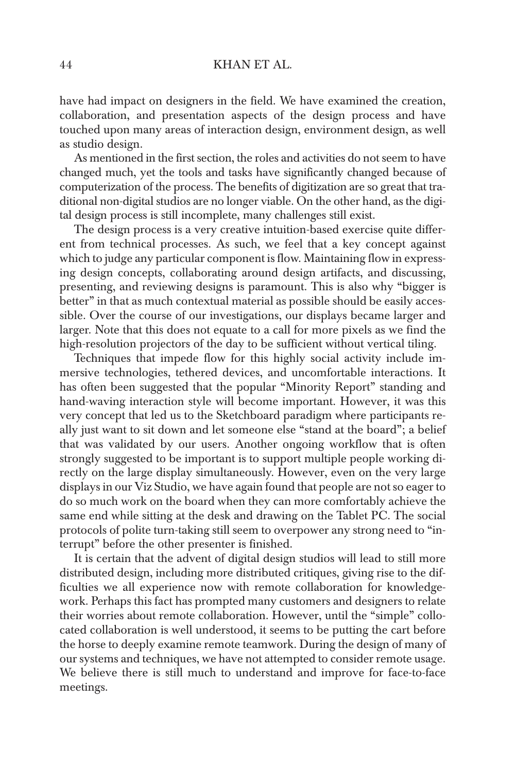have had impact on designers in the field. We have examined the creation, collaboration, and presentation aspects of the design process and have touched upon many areas of interaction design, environment design, as well as studio design.

As mentioned in the first section, the roles and activities do not seem to have changed much, yet the tools and tasks have significantly changed because of computerization of the process. The benefits of digitization are so great that traditional non-digital studios are no longer viable. On the other hand, as the digital design process is still incomplete, many challenges still exist.

The design process is a very creative intuition-based exercise quite different from technical processes. As such, we feel that a key concept against which to judge any particular component is flow. Maintaining flow in expressing design concepts, collaborating around design artifacts, and discussing, presenting, and reviewing designs is paramount. This is also why "bigger is better" in that as much contextual material as possible should be easily accessible. Over the course of our investigations, our displays became larger and larger. Note that this does not equate to a call for more pixels as we find the high-resolution projectors of the day to be sufficient without vertical tiling.

Techniques that impede flow for this highly social activity include immersive technologies, tethered devices, and uncomfortable interactions. It has often been suggested that the popular "Minority Report" standing and hand-waving interaction style will become important. However, it was this very concept that led us to the Sketchboard paradigm where participants really just want to sit down and let someone else "stand at the board"; a belief that was validated by our users. Another ongoing workflow that is often strongly suggested to be important is to support multiple people working directly on the large display simultaneously. However, even on the very large displays in our Viz Studio, we have again found that people are not so eager to do so much work on the board when they can more comfortably achieve the same end while sitting at the desk and drawing on the Tablet PC. The social protocols of polite turn-taking still seem to overpower any strong need to "interrupt" before the other presenter is finished.

It is certain that the advent of digital design studios will lead to still more distributed design, including more distributed critiques, giving rise to the difficulties we all experience now with remote collaboration for knowledgework. Perhaps this fact has prompted many customers and designers to relate their worries about remote collaboration. However, until the "simple" collocated collaboration is well understood, it seems to be putting the cart before the horse to deeply examine remote teamwork. During the design of many of our systems and techniques, we have not attempted to consider remote usage. We believe there is still much to understand and improve for face-to-face meetings.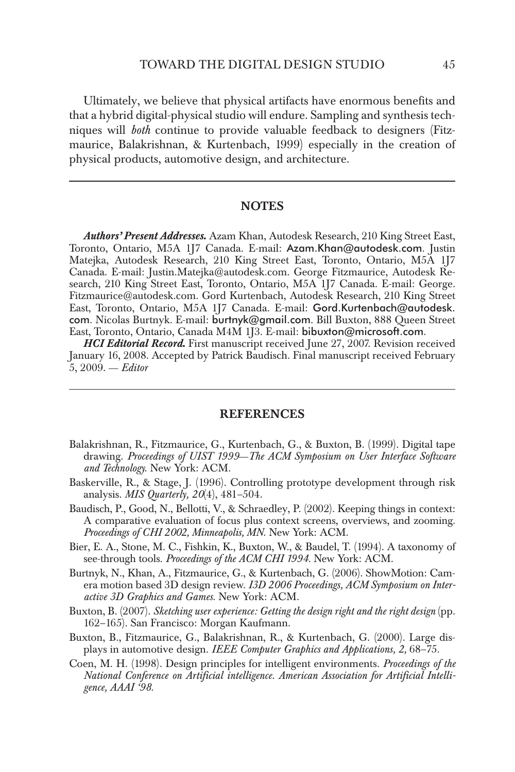Ultimately, we believe that physical artifacts have enormous benefits and that a hybrid digital-physical studio will endure. Sampling and synthesis techniques will *both* continue to provide valuable feedback to designers (Fitzmaurice, Balakrishnan, & Kurtenbach, 1999) especially in the creation of physical products, automotive design, and architecture.

#### **NOTES**

*Authors' Present Addresses.* Azam Khan, Autodesk Research, 210 King Street East, Toronto, Ontario, M5A 1J7 Canada. E-mail: Azam.Khan@autodesk.com. Justin Matejka, Autodesk Research, 210 King Street East, Toronto, Ontario, M5A 1J7 Canada. E-mail: Justin.Matejka@autodesk.com. George Fitzmaurice, Autodesk Research, 210 King Street East, Toronto, Ontario, M5A 1J7 Canada. E-mail: George. Fitzmaurice@autodesk.com. Gord Kurtenbach, Autodesk Research, 210 King Street East, Toronto, Ontario, M5A 1J7 Canada. E-mail: Gord.Kurtenbach@autodesk. com. Nicolas Burtnyk. E-mail: burtnyk@gmail.com. Bill Buxton, 888 Queen Street East, Toronto, Ontario, Canada M4M 1J3. E-mail: bibuxton@microsoft.com.

*HCI Editorial Record.* First manuscript received June 27, 2007. Revision received January 16, 2008. Accepted by Patrick Baudisch. Final manuscript received February 5, 2009. *— Editor*

#### **REFERENCES**

- Balakrishnan, R., Fitzmaurice, G., Kurtenbach, G., & Buxton, B. (1999). Digital tape drawing. *Proceedings of UIST 1999—The ACM Symposium on User Interface Software and Technology*. New York: ACM.
- Baskerville, R., & Stage, J. (1996). Controlling prototype development through risk analysis. *MIS Quarterly, 20*(4), 481–504.
- Baudisch, P., Good, N., Bellotti, V., & Schraedley, P. (2002). Keeping things in context: A comparative evaluation of focus plus context screens, overviews, and zooming. *Proceedings of CHI 2002, Minneapolis, MN*. New York: ACM.
- Bier, E. A., Stone, M. C., Fishkin, K., Buxton, W., & Baudel, T. (1994). A taxonomy of see-through tools. *Proceedings of the ACM CHI 1994*. New York: ACM.
- Burtnyk, N., Khan, A., Fitzmaurice, G., & Kurtenbach, G. (2006). ShowMotion: Camera motion based 3D design review. *I3D 2006 Proceedings, ACM Symposium on Interactive 3D Graphics and Games*. New York: ACM.
- Buxton, B. (2007). *Sketching user experience: Getting the design right and the right design* (pp. 162–165). San Francisco: Morgan Kaufmann.
- Buxton, B., Fitzmaurice, G., Balakrishnan, R., & Kurtenbach, G. (2000). Large displays in automotive design. *IEEE Computer Graphics and Applications, 2,* 68–75.
- Coen, M. H. (1998). Design principles for intelligent environments. *Proceedings of the National Conference on Artificial intelligence. American Association for Artificial Intelligence, AAAI '98*.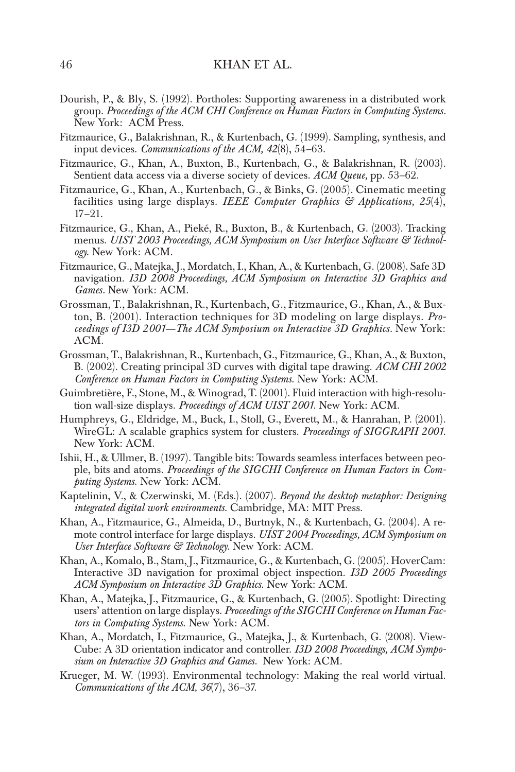- Dourish, P., & Bly, S. (1992). Portholes: Supporting awareness in a distributed work group. *Proceedings of the ACM CHI Conference on Human Factors in Computing Systems.* New York: ACM Press.
- Fitzmaurice, G., Balakrishnan, R., & Kurtenbach, G. (1999). Sampling, synthesis, and input devices. *Communications of the ACM, 42*(8), 54–63.
- Fitzmaurice, G., Khan, A., Buxton, B., Kurtenbach, G., & Balakrishnan, R. (2003). Sentient data access via a diverse society of devices. *ACM Queue,* pp. 53–62.
- Fitzmaurice, G., Khan, A., Kurtenbach, G., & Binks, G. (2005). Cinematic meeting facilities using large displays. *IEEE Computer Graphics & Applications, 25*(4), 17–21.
- Fitzmaurice, G., Khan, A., Pieké, R., Buxton, B., & Kurtenbach, G. (2003). Tracking menus. *UIST 2003 Proceedings, ACM Symposium on User Interface Software & Technology*. New York: ACM.
- Fitzmaurice, G., Matejka, J., Mordatch, I., Khan, A., & Kurtenbach, G. (2008). Safe 3D navigation. *I3D 2008 Proceedings, ACM Symposium on Interactive 3D Graphics and Games.* New York: ACM.
- Grossman, T., Balakrishnan, R., Kurtenbach, G., Fitzmaurice, G., Khan, A., & Buxton, B. (2001). Interaction techniques for 3D modeling on large displays. *Proceedings of I3D 2001—The ACM Symposium on Interactive 3D Graphics.* New York: ACM.
- Grossman, T., Balakrishnan, R., Kurtenbach, G., Fitzmaurice, G., Khan, A., & Buxton, B. (2002). Creating principal 3D curves with digital tape drawing. *ACM CHI 2002 Conference on Human Factors in Computing Systems*. New York: ACM.
- Guimbretière, F., Stone, M., & Winograd, T. (2001). Fluid interaction with high-resolution wall-size displays. *Proceedings of ACM UIST 2001*. New York: ACM.
- Humphreys, G., Eldridge, M., Buck, I., Stoll, G., Everett, M., & Hanrahan, P. (2001). WireGL: A scalable graphics system for clusters. *Proceedings of SIGGRAPH 2001*. New York: ACM.
- Ishii, H., & Ullmer, B. (1997). Tangible bits: Towards seamless interfaces between people, bits and atoms. *Proceedings of the SIGCHI Conference on Human Factors in Computing Systems*. New York: ACM.
- Kaptelinin, V., & Czerwinski, M. (Eds.). (2007). *Beyond the desktop metaphor: Designing integrated digital work environments*. Cambridge, MA: MIT Press.
- Khan, A., Fitzmaurice, G., Almeida, D., Burtnyk, N., & Kurtenbach, G. (2004). A remote control interface for large displays. *UIST 2004 Proceedings, ACM Symposium on User Interface Software & Technology.* New York: ACM.
- Khan, A., Komalo, B., Stam, J., Fitzmaurice, G., & Kurtenbach, G. (2005). HoverCam: Interactive 3D navigation for proximal object inspection. *I3D 2005 Proceedings ACM Symposium on Interactive 3D Graphics*. New York: ACM.
- Khan, A., Matejka, J., Fitzmaurice, G., & Kurtenbach, G. (2005). Spotlight: Directing users' attention on large displays. *Proceedings of the SIGCHI Conference on Human Factors in Computing Systems*. New York: ACM.
- Khan, A., Mordatch, I., Fitzmaurice, G., Matejka, J., & Kurtenbach, G. (2008). View-Cube: A 3D orientation indicator and controller. *I3D 2008 Proceedings, ACM Symposium on Interactive 3D Graphics and Games.* New York: ACM.
- Krueger, M. W. (1993). Environmental technology: Making the real world virtual. *Communications of the ACM, 36*(7), 36–37.